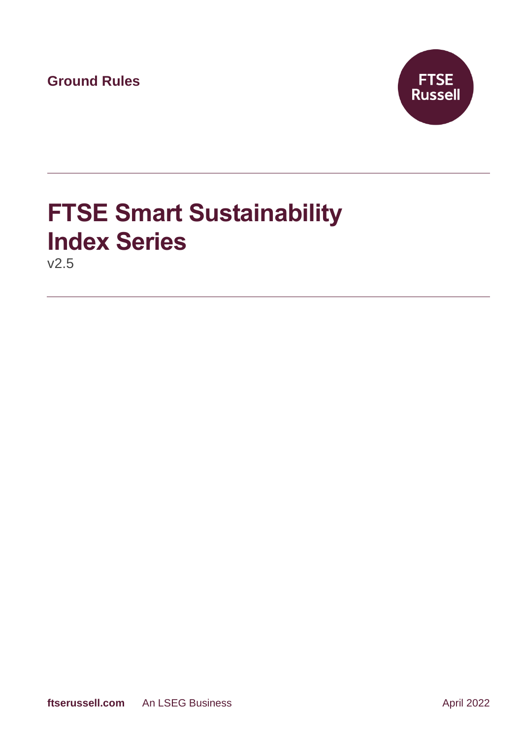**Ground Rules**



# **FTSE Smart Sustainability Index Series**

v2.5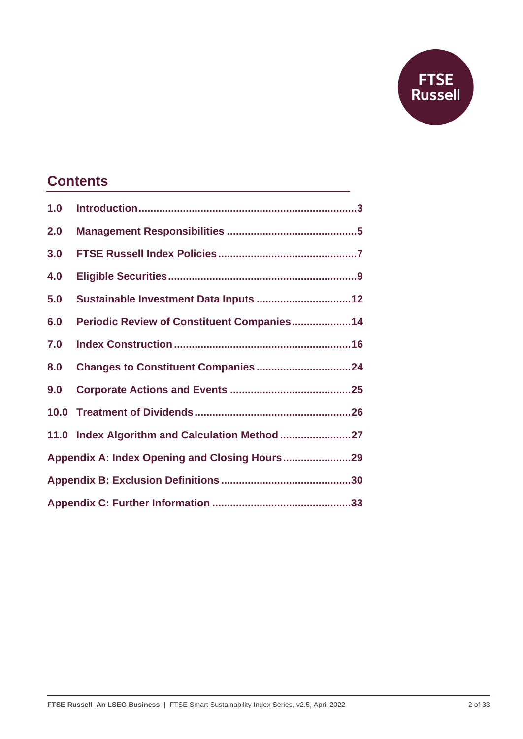

### **Contents**

| 1.0 |                                                |  |
|-----|------------------------------------------------|--|
| 2.0 |                                                |  |
| 3.0 |                                                |  |
| 4.0 |                                                |  |
| 5.0 | Sustainable Investment Data Inputs  12         |  |
| 6.0 | Periodic Review of Constituent Companies14     |  |
| 7.0 |                                                |  |
| 8.0 |                                                |  |
| 9.0 |                                                |  |
|     |                                                |  |
|     | 11.0 Index Algorithm and Calculation Method 27 |  |
|     |                                                |  |
|     |                                                |  |
|     |                                                |  |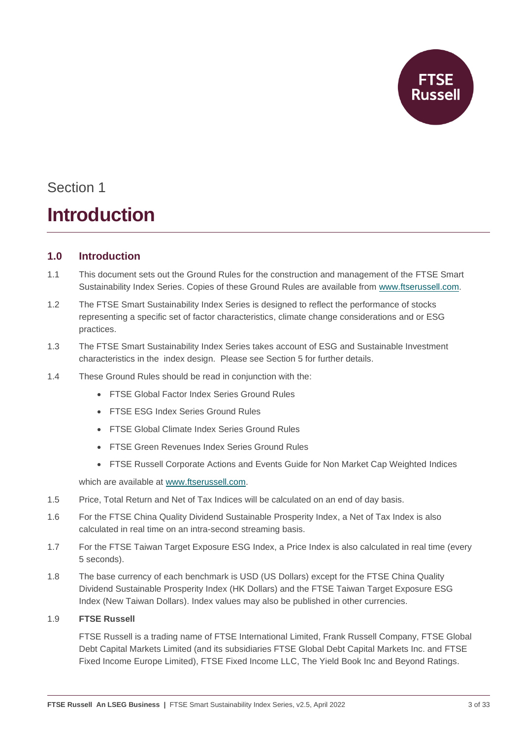

### Section 1 **Introduction**

#### <span id="page-2-0"></span>**1.0 Introduction**

- 1.1 This document sets out the Ground Rules for the construction and management of the FTSE Smart Sustainability Index Series. Copies of these Ground Rules are available from [www.ftserussell.com.](http://www.ftserussell.com/)
- 1.2 The FTSE Smart Sustainability Index Series is designed to reflect the performance of stocks representing a specific set of factor characteristics, climate change considerations and or ESG practices.
- 1.3 The FTSE Smart Sustainability Index Series takes account of ESG and Sustainable Investment characteristics in the index design. Please see Section 5 for further details.
- 1.4 These Ground Rules should be read in conjunction with the:
	- FTSE Global Factor Index Series Ground Rules
	- FTSE ESG Index Series Ground Rules
	- FTSE Global Climate Index Series Ground Rules
	- FTSE Green Revenues Index Series Ground Rules
	- FTSE Russell Corporate Actions and Events Guide for Non Market Cap Weighted Indices

which are available at [www.ftserussell.com.](http://www.ftserussell.com/)

- 1.5 Price, Total Return and Net of Tax Indices will be calculated on an end of day basis.
- 1.6 For the FTSE China Quality Dividend Sustainable Prosperity Index, a Net of Tax Index is also calculated in real time on an intra-second streaming basis.
- 1.7 For the FTSE Taiwan Target Exposure ESG Index, a Price Index is also calculated in real time (every 5 seconds).
- 1.8 The base currency of each benchmark is USD (US Dollars) except for the FTSE China Quality Dividend Sustainable Prosperity Index (HK Dollars) and the FTSE Taiwan Target Exposure ESG Index (New Taiwan Dollars). Index values may also be published in other currencies.

#### 1.9 **FTSE Russell**

FTSE Russell is a trading name of FTSE International Limited, Frank Russell Company, FTSE Global Debt Capital Markets Limited (and its subsidiaries FTSE Global Debt Capital Markets Inc. and FTSE Fixed Income Europe Limited), FTSE Fixed Income LLC, The Yield Book Inc and Beyond Ratings.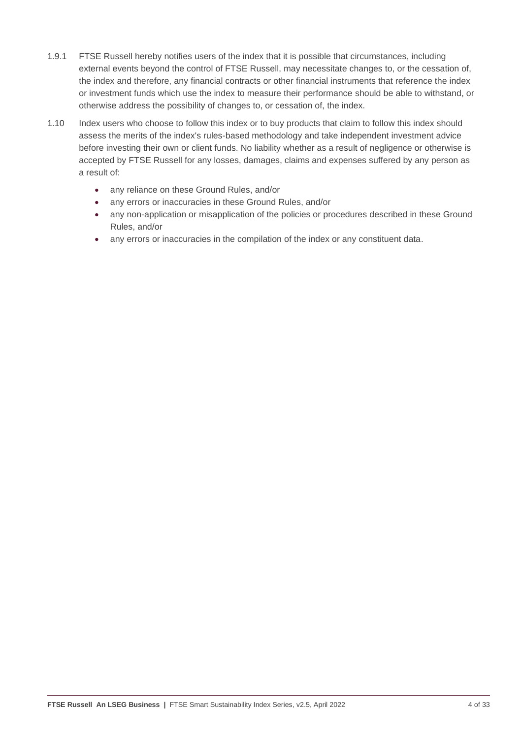- 1.9.1 FTSE Russell hereby notifies users of the index that it is possible that circumstances, including external events beyond the control of FTSE Russell, may necessitate changes to, or the cessation of, the index and therefore, any financial contracts or other financial instruments that reference the index or investment funds which use the index to measure their performance should be able to withstand, or otherwise address the possibility of changes to, or cessation of, the index.
- 1.10 Index users who choose to follow this index or to buy products that claim to follow this index should assess the merits of the index's rules-based methodology and take independent investment advice before investing their own or client funds. No liability whether as a result of negligence or otherwise is accepted by FTSE Russell for any losses, damages, claims and expenses suffered by any person as a result of:
	- any reliance on these Ground Rules, and/or
	- any errors or inaccuracies in these Ground Rules, and/or
	- any non-application or misapplication of the policies or procedures described in these Ground Rules, and/or
	- any errors or inaccuracies in the compilation of the index or any constituent data.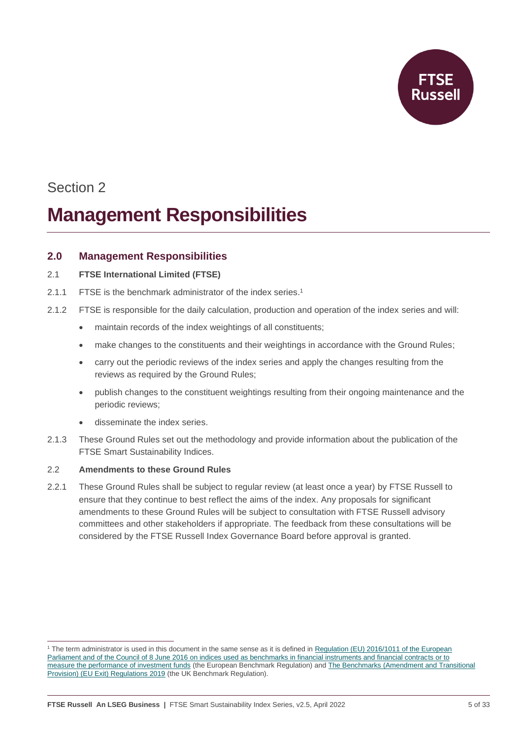

### Section 2

### **Management Responsibilities**

#### <span id="page-4-0"></span>**2.0 Management Responsibilities**

#### 2.1 **FTSE International Limited (FTSE)**

- 2.1.1 FTSE is the benchmark administrator of the index series. 1
- 2.1.2 FTSE is responsible for the daily calculation, production and operation of the index series and will:
	- maintain records of the index weightings of all constituents;
	- make changes to the constituents and their weightings in accordance with the Ground Rules;
	- carry out the periodic reviews of the index series and apply the changes resulting from the reviews as required by the Ground Rules;
	- publish changes to the constituent weightings resulting from their ongoing maintenance and the periodic reviews;
	- disseminate the index series.
- 2.1.3 These Ground Rules set out the methodology and provide information about the publication of the FTSE Smart Sustainability Indices.

#### 2.2 **Amendments to these Ground Rules**

2.2.1 These Ground Rules shall be subject to regular review (at least once a year) by FTSE Russell to ensure that they continue to best reflect the aims of the index. Any proposals for significant amendments to these Ground Rules will be subject to consultation with FTSE Russell advisory committees and other stakeholders if appropriate. The feedback from these consultations will be considered by the FTSE Russell Index Governance Board before approval is granted.

<sup>&</sup>lt;sup>1</sup> The term administrator is used in this document in the same sense as it is defined in Regulation (EU) 2016/1011 of the European [Parliament and of the Council of 8 June 2016 on indices used as benchmarks in financial instruments and financial contracts or to](http://eur-lex.europa.eu/legal-content/EN/TXT/PDF/?uri=CELEX:32016R1011&from=EN)  [measure the performance of investment funds](http://eur-lex.europa.eu/legal-content/EN/TXT/PDF/?uri=CELEX:32016R1011&from=EN) (the European Benchmark Regulation) and The Benchmarks (Amendment and Transitional [Provision\) \(EU Exit\) Regulations 2019](https://www.legislation.gov.uk/uksi/2019/657/made) (the UK Benchmark Regulation).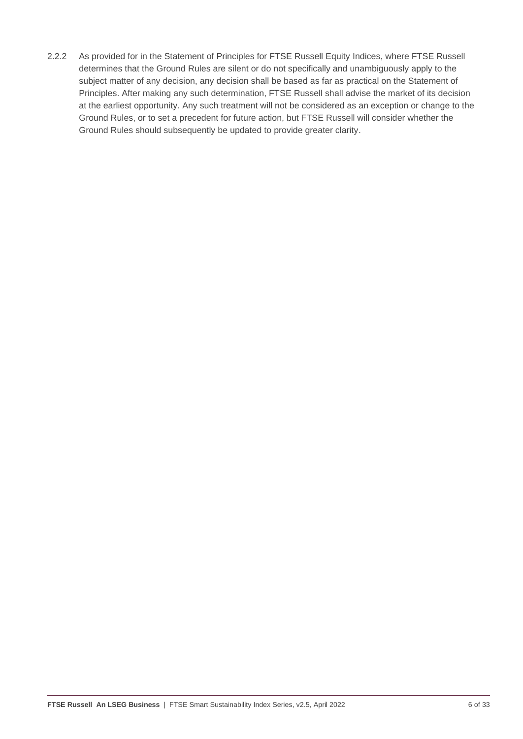2.2.2 As provided for in the Statement of Principles for FTSE Russell Equity Indices, where FTSE Russell determines that the Ground Rules are silent or do not specifically and unambiguously apply to the subject matter of any decision, any decision shall be based as far as practical on the Statement of Principles. After making any such determination, FTSE Russell shall advise the market of its decision at the earliest opportunity. Any such treatment will not be considered as an exception or change to the Ground Rules, or to set a precedent for future action, but FTSE Russell will consider whether the Ground Rules should subsequently be updated to provide greater clarity.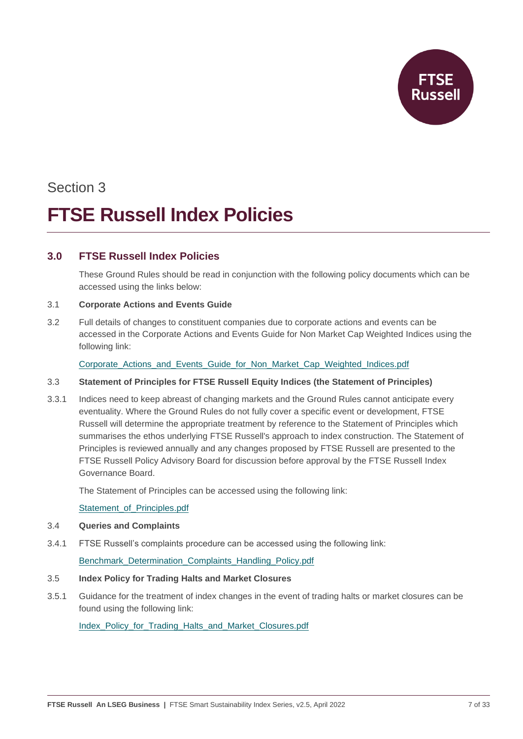

## Section 3 **FTSE Russell Index Policies**

#### <span id="page-6-0"></span>**3.0 FTSE Russell Index Policies**

These Ground Rules should be read in conjunction with the following policy documents which can be accessed using the links below:

#### 3.1 **Corporate Actions and Events Guide**

3.2 Full details of changes to constituent companies due to corporate actions and events can be accessed in the Corporate Actions and Events Guide for Non Market Cap Weighted Indices using the following link:

#### Corporate Actions and Events Guide for Non Market Cap Weighted Indices.pdf

#### 3.3 **Statement of Principles for FTSE Russell Equity Indices (the Statement of Principles)**

3.3.1 Indices need to keep abreast of changing markets and the Ground Rules cannot anticipate every eventuality. Where the Ground Rules do not fully cover a specific event or development, FTSE Russell will determine the appropriate treatment by reference to the Statement of Principles which summarises the ethos underlying FTSE Russell's approach to index construction. The Statement of Principles is reviewed annually and any changes proposed by FTSE Russell are presented to the FTSE Russell Policy Advisory Board for discussion before approval by the FTSE Russell Index Governance Board.

The Statement of Principles can be accessed using the following link:

[Statement\\_of\\_Principles.pdf](https://research.ftserussell.com/products/downloads/Statement_of_Principles.pdf)

#### 3.4 **Queries and Complaints**

3.4.1 FTSE Russell's complaints procedure can be accessed using the following link:

Benchmark Determination Complaints Handling Policy.pdf

#### 3.5 **Index Policy for Trading Halts and Market Closures**

3.5.1 Guidance for the treatment of index changes in the event of trading halts or market closures can be found using the following link:

Index Policy for Trading Halts and Market Closures.pdf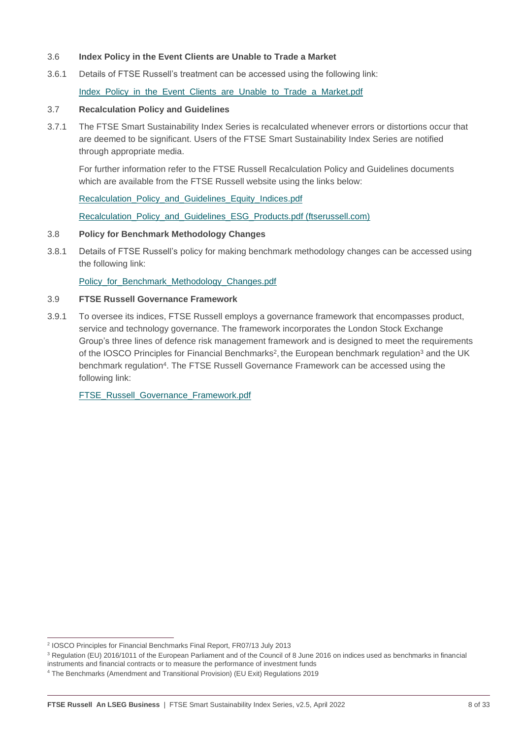- 3.6 **Index Policy in the Event Clients are Unable to Trade a Market**
- 3.6.1 Details of FTSE Russell's treatment can be accessed using the following link: Index Policy in the Event Clients are Unable to Trade a Market.pdf

#### 3.7 **Recalculation Policy and Guidelines**

3.7.1 The FTSE Smart Sustainability Index Series is recalculated whenever errors or distortions occur that are deemed to be significant. Users of the FTSE Smart Sustainability Index Series are notified through appropriate media.

For further information refer to the FTSE Russell Recalculation Policy and Guidelines documents which are available from the FTSE Russell website using the links below:

[Recalculation\\_Policy\\_and\\_Guidelines\\_Equity\\_Indices.pdf](https://research.ftserussell.com/products/downloads/Equity_Index_Recalculation_Policy_and_Guidelines.pdf)

[Recalculation\\_Policy\\_and\\_Guidelines\\_ESG\\_Products.pdf \(ftserussell.com\)](https://research.ftserussell.com/products/downloads/Recalculation_Policy_and_Guidelines_ESG_Products.pdf)

#### 3.8 **Policy for Benchmark Methodology Changes**

3.8.1 Details of FTSE Russell's policy for making benchmark methodology changes can be accessed using the following link:

[Policy\\_for\\_Benchmark\\_Methodology\\_Changes.pdf](https://research.ftserussell.com/products/downloads/FTSE_Russell_Policy_for_Benchmark_Methodology_Changes.pdf)

#### 3.9 **FTSE Russell Governance Framework**

3.9.1 To oversee its indices, FTSE Russell employs a governance framework that encompasses product, service and technology governance. The framework incorporates the London Stock Exchange Group's three lines of defence risk management framework and is designed to meet the requirements of the IOSCO Principles for Financial Benchmarks<sup>2</sup>, the European benchmark regulation<sup>3</sup> and the UK benchmark regulation<sup>4</sup>. The FTSE Russell Governance Framework can be accessed using the following link:

[FTSE\\_Russell\\_Governance\\_Framework.pdf](https://research.ftserussell.com/products/downloads/FTSE_Russell_Governance_Framework.pdf)

<sup>2</sup> IOSCO Principles for Financial Benchmarks Final Report, FR07/13 July 2013

<sup>&</sup>lt;sup>3</sup> Regulation (EU) 2016/1011 of the European Parliament and of the Council of 8 June 2016 on indices used as benchmarks in financial

instruments and financial contracts or to measure the performance of investment funds

<sup>4</sup> The Benchmarks (Amendment and Transitional Provision) (EU Exit) Regulations 2019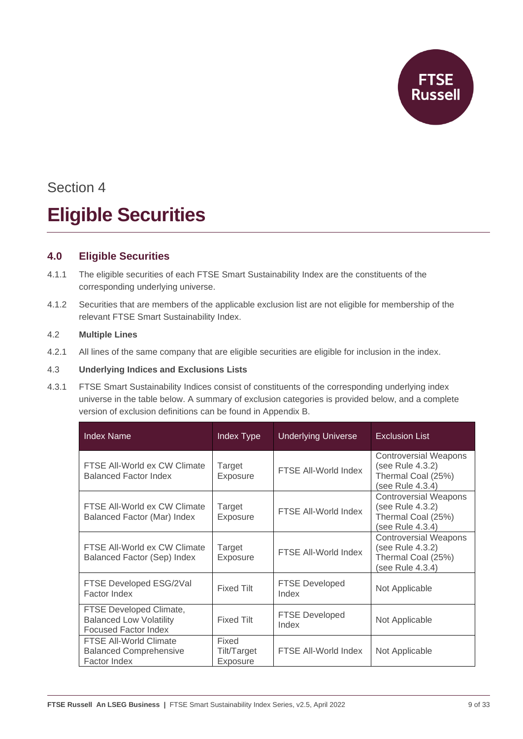

## Section 4 **Eligible Securities**

#### <span id="page-8-0"></span>**4.0 Eligible Securities**

- 4.1.1 The eligible securities of each FTSE Smart Sustainability Index are the constituents of the corresponding underlying universe.
- 4.1.2 Securities that are members of the applicable exclusion list are not eligible for membership of the relevant FTSE Smart Sustainability Index.

#### 4.2 **Multiple Lines**

4.2.1 All lines of the same company that are eligible securities are eligible for inclusion in the index.

#### 4.3 **Underlying Indices and Exclusions Lists**

4.3.1 FTSE Smart Sustainability Indices consist of constituents of the corresponding underlying index universe in the table below. A summary of exclusion categories is provided below, and a complete version of exclusion definitions can be found in Appendix B.

| <b>Index Name</b>                                                                        | Index Type                       | <b>Underlying Universe</b>     | <b>Exclusion List</b>                                                                      |
|------------------------------------------------------------------------------------------|----------------------------------|--------------------------------|--------------------------------------------------------------------------------------------|
| FTSE All-World ex CW Climate<br><b>Balanced Factor Index</b>                             | Target<br>Exposure               | FTSE All-World Index           | <b>Controversial Weapons</b><br>(see Rule 4.3.2)<br>Thermal Coal (25%)<br>(see Rule 4.3.4) |
| FTSE All-World ex CW Climate<br>Balanced Factor (Mar) Index                              | Target<br>Exposure               | FTSE All-World Index           | <b>Controversial Weapons</b><br>(see Rule 4.3.2)<br>Thermal Coal (25%)<br>(see Rule 4.3.4) |
| FTSE All-World ex CW Climate<br>Balanced Factor (Sep) Index                              | Target<br>Exposure               | FTSE All-World Index           | <b>Controversial Weapons</b><br>(see Rule 4.3.2)<br>Thermal Coal (25%)<br>(see Rule 4.3.4) |
| FTSE Developed ESG/2Val<br>Factor Index                                                  | <b>Fixed Tilt</b>                | <b>FTSE Developed</b><br>Index | Not Applicable                                                                             |
| FTSE Developed Climate,<br><b>Balanced Low Volatility</b><br><b>Focused Factor Index</b> | <b>Fixed Tilt</b>                | <b>FTSE Developed</b><br>Index | Not Applicable                                                                             |
| FTSE All-World Climate<br><b>Balanced Comprehensive</b><br>Factor Index                  | Fixed<br>Tilt/Target<br>Exposure | FTSE All-World Index           | Not Applicable                                                                             |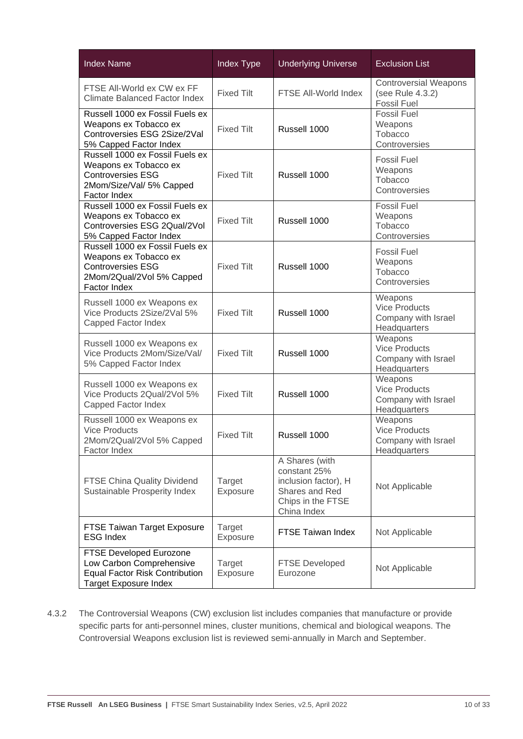| <b>Index Name</b>                                                                                                                   | Index Type         | <b>Underlying Universe</b>                                                                                   | <b>Exclusion List</b>                                                  |
|-------------------------------------------------------------------------------------------------------------------------------------|--------------------|--------------------------------------------------------------------------------------------------------------|------------------------------------------------------------------------|
| FTSE All-World ex CW ex FF<br><b>Climate Balanced Factor Index</b>                                                                  | <b>Fixed Tilt</b>  | FTSE All-World Index                                                                                         | <b>Controversial Weapons</b><br>(see Rule 4.3.2)<br><b>Fossil Fuel</b> |
| Russell 1000 ex Fossil Fuels ex<br>Weapons ex Tobacco ex<br>Controversies ESG 2Size/2Val<br>5% Capped Factor Index                  | <b>Fixed Tilt</b>  | Russell 1000                                                                                                 | <b>Fossil Fuel</b><br>Weapons<br>Tobacco<br>Controversies              |
| Russell 1000 ex Fossil Fuels ex<br>Weapons ex Tobacco ex<br><b>Controversies ESG</b><br>2Mom/Size/Val/ 5% Capped<br>Factor Index    | <b>Fixed Tilt</b>  | Russell 1000                                                                                                 | <b>Fossil Fuel</b><br>Weapons<br>Tobacco<br>Controversies              |
| Russell 1000 ex Fossil Fuels ex<br>Weapons ex Tobacco ex<br>Controversies ESG 2Qual/2Vol<br>5% Capped Factor Index                  | <b>Fixed Tilt</b>  | Russell 1000                                                                                                 | <b>Fossil Fuel</b><br>Weapons<br>Tobacco<br>Controversies              |
| Russell 1000 ex Fossil Fuels ex<br>Weapons ex Tobacco ex<br><b>Controversies ESG</b><br>2Mom/2Qual/2Vol 5% Capped<br>Factor Index   | <b>Fixed Tilt</b>  | Russell 1000                                                                                                 | <b>Fossil Fuel</b><br>Weapons<br>Tobacco<br>Controversies              |
| Russell 1000 ex Weapons ex<br>Vice Products 2Size/2Val 5%<br>Capped Factor Index                                                    | <b>Fixed Tilt</b>  | Russell 1000                                                                                                 | Weapons<br><b>Vice Products</b><br>Company with Israel<br>Headquarters |
| Russell 1000 ex Weapons ex<br>Vice Products 2Mom/Size/Val/<br>5% Capped Factor Index                                                | <b>Fixed Tilt</b>  | Russell 1000                                                                                                 | Weapons<br><b>Vice Products</b><br>Company with Israel<br>Headquarters |
| Russell 1000 ex Weapons ex<br>Vice Products 2Qual/2Vol 5%<br>Capped Factor Index                                                    | <b>Fixed Tilt</b>  | Russell 1000                                                                                                 | Weapons<br><b>Vice Products</b><br>Company with Israel<br>Headquarters |
| Russell 1000 ex Weapons ex<br><b>Vice Products</b><br>2Mom/2Qual/2Vol 5% Capped<br>Factor Index                                     | <b>Fixed Tilt</b>  | Russell 1000                                                                                                 | Weapons<br><b>Vice Products</b><br>Company with Israel<br>Headquarters |
| <b>FTSE China Quality Dividend</b><br>Sustainable Prosperity Index                                                                  | Target<br>Exposure | A Shares (with<br>constant 25%<br>inclusion factor), H<br>Shares and Red<br>Chips in the FTSE<br>China Index | Not Applicable                                                         |
| FTSE Taiwan Target Exposure<br><b>ESG Index</b>                                                                                     | Target<br>Exposure | FTSE Taiwan Index                                                                                            | Not Applicable                                                         |
| <b>FTSE Developed Eurozone</b><br>Low Carbon Comprehensive<br><b>Equal Factor Risk Contribution</b><br><b>Target Exposure Index</b> | Target<br>Exposure | <b>FTSE Developed</b><br>Eurozone                                                                            | Not Applicable                                                         |

4.3.2 The Controversial Weapons (CW) exclusion list includes companies that manufacture or provide specific parts for anti-personnel mines, cluster munitions, chemical and biological weapons. The Controversial Weapons exclusion list is reviewed semi-annually in March and September.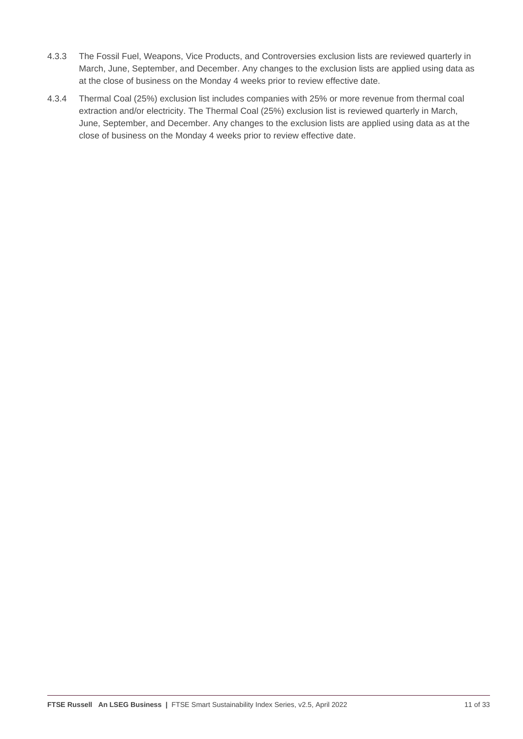- 4.3.3 The Fossil Fuel, Weapons, Vice Products, and Controversies exclusion lists are reviewed quarterly in March, June, September, and December. Any changes to the exclusion lists are applied using data as at the close of business on the Monday 4 weeks prior to review effective date.
- 4.3.4 Thermal Coal (25%) exclusion list includes companies with 25% or more revenue from thermal coal extraction and/or electricity. The Thermal Coal (25%) exclusion list is reviewed quarterly in March, June, September, and December. Any changes to the exclusion lists are applied using data as at the close of business on the Monday 4 weeks prior to review effective date.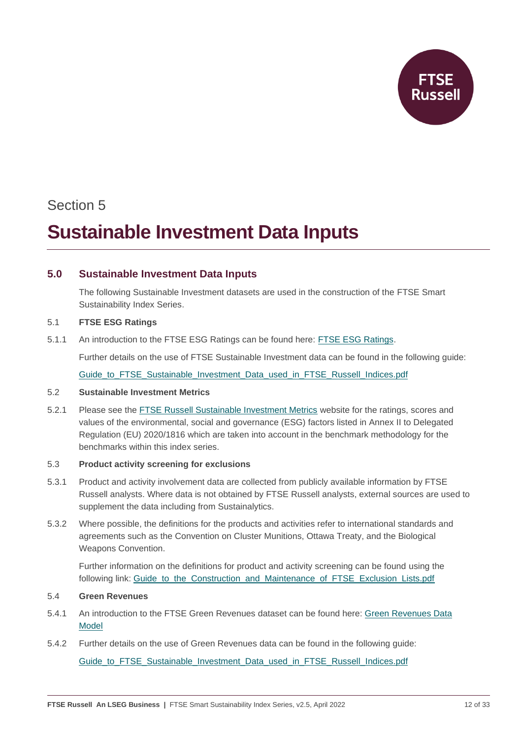

### Section 5

### **Sustainable Investment Data Inputs**

#### <span id="page-11-0"></span>**5.0 Sustainable Investment Data Inputs**

The following Sustainable Investment datasets are used in the construction of the FTSE Smart Sustainability Index Series.

#### 5.1 **FTSE ESG Ratings**

5.1.1 An introduction to the FTSE ESG Ratings can be found here: [FTSE ESG Ratings.](https://www.ftserussell.com/data/sustainability-and-esg-data/esg-ratings)

Further details on the use of FTSE Sustainable Investment data can be found in the following guide:

[Guide\\_to\\_FTSE\\_Sustainable\\_Investment\\_Data\\_used\\_in\\_FTSE\\_Russell\\_Indices.pdf](https://research.ftserussell.com/products/downloads/Guide_to_FTSE_Sustainable_Investment_Data_used_in_FTSE_Russell_Indexes.pdf)

#### 5.2 **Sustainable Investment Metrics**

5.2.1 Please see the [FTSE Russell Sustainable Investment Metrics](https://www.ftserussell.com/sustainable-investment-metrics) website for the ratings, scores and values of the environmental, social and governance (ESG) factors listed in Annex II to Delegated Regulation (EU) 2020/1816 which are taken into account in the benchmark methodology for the benchmarks within this index series.

#### 5.3 **Product activity screening for exclusions**

- 5.3.1 Product and activity involvement data are collected from publicly available information by FTSE Russell analysts. Where data is not obtained by FTSE Russell analysts, external sources are used to supplement the data including from Sustainalytics.
- 5.3.2 Where possible, the definitions for the products and activities refer to international standards and agreements such as the Convention on Cluster Munitions, Ottawa Treaty, and the Biological Weapons Convention.

Further information on the definitions for product and activity screening can be found using the following link: Guide to the Construction and Maintenance of FTSE Exclusion Lists.pdf

#### 5.4 **Green Revenues**

- 5.4.1 An introduction to the FTSE Green Revenues dataset can be found here: [Green Revenues Data](https://www.ftserussell.com/data/sustainability-and-esg-data/green-revenues-data-model)  [Model](https://www.ftserussell.com/data/sustainability-and-esg-data/green-revenues-data-model)
- 5.4.2 Further details on the use of Green Revenues data can be found in the following guide:

Guide to FTSE Sustainable Investment Data used in FTSE Russell Indices.pdf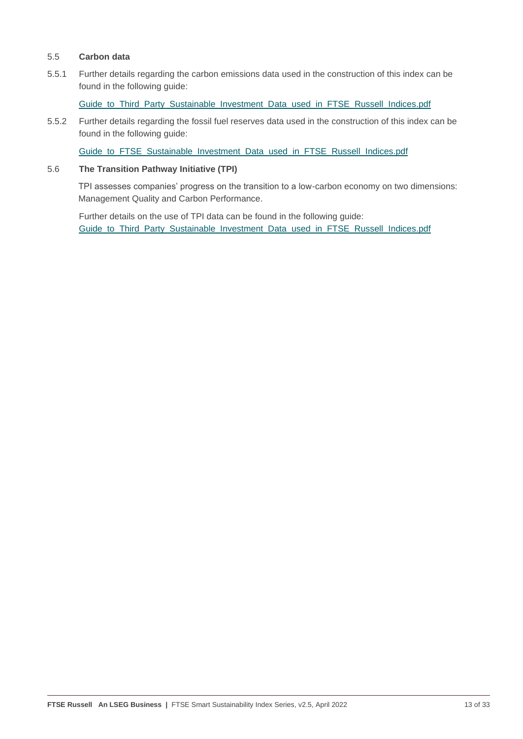#### 5.5 **Carbon data**

5.5.1 Further details regarding the carbon emissions data used in the construction of this index can be found in the following guide:

[Guide\\_to\\_Third\\_Party\\_Sustainable\\_Investment\\_Data\\_used\\_in\\_FTSE\\_Russell\\_Indices.pdf](https://research.ftserussell.com/products/downloads/Guide_to_Third_Party_Sustainable_Investment_Data_used_in_FTSE_Russell_Indexes.pdf)

5.5.2 Further details regarding the fossil fuel reserves data used in the construction of this index can be found in the following guide:

[Guide\\_to\\_FTSE\\_Sustainable\\_Investment\\_Data\\_used\\_in\\_FTSE\\_Russell\\_Indices.pdf](https://research.ftserussell.com/products/downloads/Guide_to_FTSE_Sustainable_Investment_Data_used_in_FTSE_Russell_Indexes.pdf)

#### 5.6 **The Transition Pathway Initiative (TPI)**

TPI assesses companies' progress on the transition to a low-carbon economy on two dimensions: Management Quality and Carbon Performance.

Further details on the use of TPI data can be found in the following guide: [Guide\\_to\\_Third\\_Party\\_Sustainable\\_Investment\\_Data\\_used\\_in\\_FTSE\\_Russell\\_Indices.pdf](https://research.ftserussell.com/products/downloads/Guide_to_Third_Party_Sustainable_Investment_Data_used_in_FTSE_Russell_Indexes.pdf)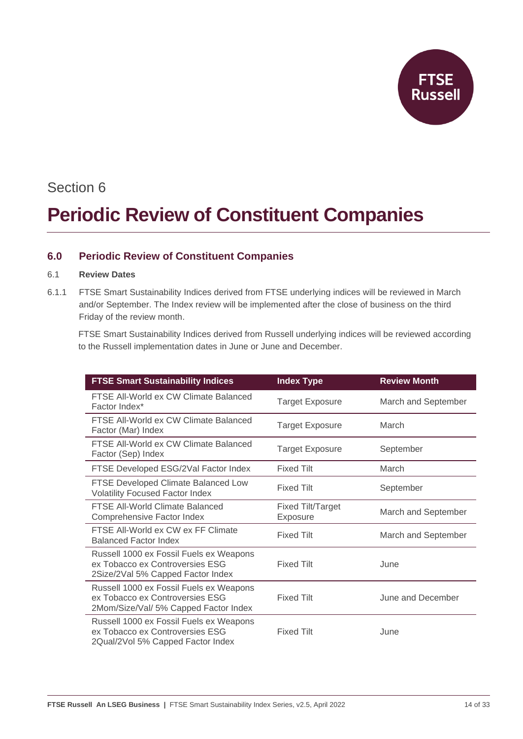

### Section 6

## **Periodic Review of Constituent Companies**

#### <span id="page-13-0"></span>**6.0 Periodic Review of Constituent Companies**

#### 6.1 **Review Dates**

6.1.1 FTSE Smart Sustainability Indices derived from FTSE underlying indices will be reviewed in March and/or September. The Index review will be implemented after the close of business on the third Friday of the review month.

FTSE Smart Sustainability Indices derived from Russell underlying indices will be reviewed according to the Russell implementation dates in June or June and December.

| <b>FTSE Smart Sustainability Indices</b>                                                                            | <b>Index Type</b>             | <b>Review Month</b> |
|---------------------------------------------------------------------------------------------------------------------|-------------------------------|---------------------|
| FTSE All-World ex CW Climate Balanced<br>Factor Index*                                                              | <b>Target Exposure</b>        | March and September |
| FTSE All-World ex CW Climate Balanced<br>Factor (Mar) Index                                                         | <b>Target Exposure</b>        | March               |
| FTSE All-World ex CW Climate Balanced<br>Factor (Sep) Index                                                         | <b>Target Exposure</b>        | September           |
| FTSE Developed ESG/2Val Factor Index                                                                                | <b>Fixed Tilt</b>             | March               |
| FTSE Developed Climate Balanced Low<br><b>Volatility Focused Factor Index</b>                                       | <b>Fixed Tilt</b>             | September           |
| <b>FTSE All-World Climate Balanced</b><br>Comprehensive Factor Index                                                | Fixed Tilt/Target<br>Exposure | March and September |
| FTSE All-World ex CW ex FF Climate<br><b>Balanced Factor Index</b>                                                  | <b>Fixed Tilt</b>             | March and September |
| Russell 1000 ex Fossil Fuels ex Weapons<br>ex Tobacco ex Controversies ESG<br>2Size/2Val 5% Capped Factor Index     | <b>Fixed Tilt</b>             | June                |
| Russell 1000 ex Fossil Fuels ex Weapons<br>ex Tobacco ex Controversies ESG<br>2Mom/Size/Val/ 5% Capped Factor Index | <b>Fixed Tilt</b>             | June and December   |
| Russell 1000 ex Fossil Fuels ex Weapons<br>ex Tobacco ex Controversies ESG<br>2Qual/2Vol 5% Capped Factor Index     | <b>Fixed Tilt</b>             | June                |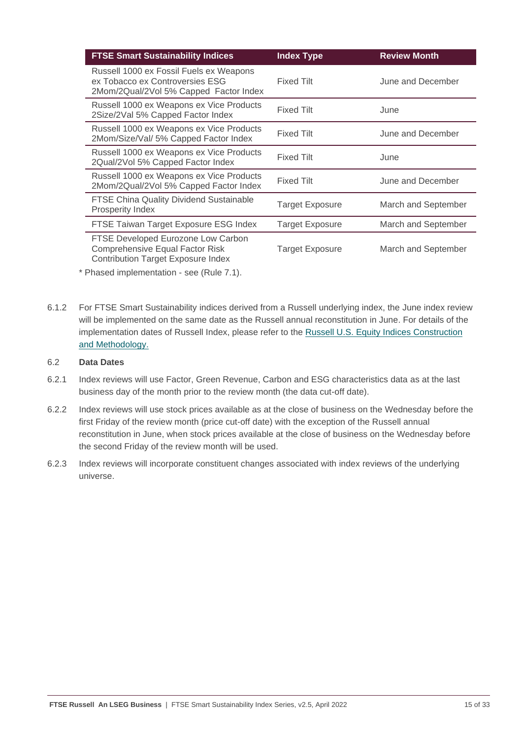| <b>FTSE Smart Sustainability Indices</b>                                                                                  | <b>Index Type</b>      | <b>Review Month</b> |
|---------------------------------------------------------------------------------------------------------------------------|------------------------|---------------------|
| Russell 1000 ex Fossil Fuels ex Weapons<br>ex Tobacco ex Controversies ESG<br>2Mom/2Qual/2Vol 5% Capped Factor Index      | <b>Fixed Tilt</b>      | June and December   |
| Russell 1000 ex Weapons ex Vice Products<br>2Size/2Val 5% Capped Factor Index                                             | <b>Fixed Tilt</b>      | June                |
| Russell 1000 ex Weapons ex Vice Products<br>2Mom/Size/Val/ 5% Capped Factor Index                                         | <b>Fixed Tilt</b>      | June and December   |
| Russell 1000 ex Weapons ex Vice Products<br>2Qual/2Vol 5% Capped Factor Index                                             | <b>Fixed Tilt</b>      | June                |
| Russell 1000 ex Weapons ex Vice Products<br>2Mom/2Qual/2Vol 5% Capped Factor Index                                        | <b>Fixed Tilt</b>      | June and December   |
| <b>FTSE China Quality Dividend Sustainable</b><br>Prosperity Index                                                        | <b>Target Exposure</b> | March and September |
| FTSE Taiwan Target Exposure ESG Index                                                                                     | <b>Target Exposure</b> | March and September |
| FTSE Developed Eurozone Low Carbon<br><b>Comprehensive Equal Factor Risk</b><br><b>Contribution Target Exposure Index</b> | <b>Target Exposure</b> | March and September |

\* Phased implementation - see (Rule 7.1).

6.1.2 For FTSE Smart Sustainability indices derived from a Russell underlying index, the June index review will be implemented on the same date as the Russell annual reconstitution in June. For details of the implementation dates of Russell Index, please refer to the [Russell U.S. Equity Indices](https://www.ftserussell.com/products/indices/russell-us) Construction [and Methodology.](https://www.ftserussell.com/products/indices/russell-us)

#### 6.2 **Data Dates**

- 6.2.1 Index reviews will use Factor, Green Revenue, Carbon and ESG characteristics data as at the last business day of the month prior to the review month (the data cut-off date).
- 6.2.2 Index reviews will use stock prices available as at the close of business on the Wednesday before the first Friday of the review month (price cut-off date) with the exception of the Russell annual reconstitution in June, when stock prices available at the close of business on the Wednesday before the second Friday of the review month will be used.
- 6.2.3 Index reviews will incorporate constituent changes associated with index reviews of the underlying universe.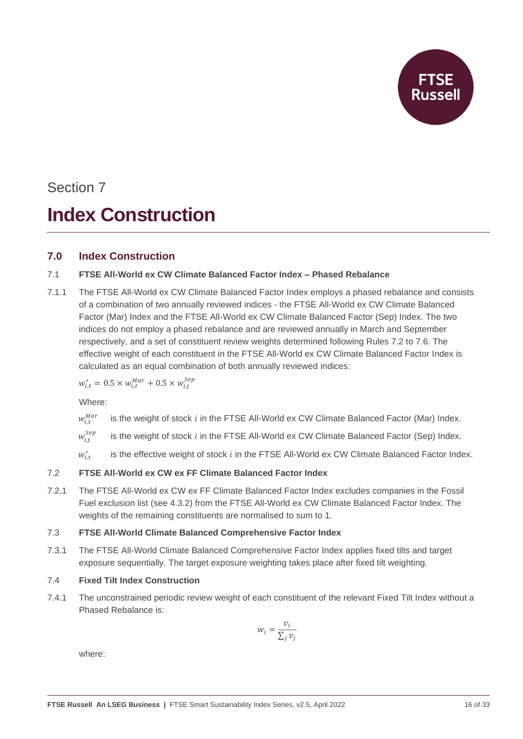

## Section 7 **Index Construction**

#### <span id="page-15-0"></span>**7.0 Index Construction**

#### 7.1 **FTSE All-World ex CW Climate Balanced Factor Index – Phased Rebalance**

7.1.1 The FTSE All-World ex CW Climate Balanced Factor Index employs a phased rebalance and consists of a combination of two annually reviewed indices - the FTSE All-World ex CW Climate Balanced Factor (Mar) Index and the FTSE All-World ex CW Climate Balanced Factor (Sep) Index. The two indices do not employ a phased rebalance and are reviewed annually in March and September respectively, and a set of constituent review weights determined following Rules 7.2 to 7.6. The effective weight of each constituent in the FTSE All-World ex CW Climate Balanced Factor Index is calculated as an equal combination of both annually reviewed indices:

 $w_{i,t}^* = 0.5 \times w_{i,t}^{Mar} + 0.5 \times w_{i,t}^{Sep}$ 

Where:

- $W_i^{Mar}$ is the weight of stock  $i$  in the FTSE All-World ex CW Climate Balanced Factor (Mar) Index.
- $W_{i,t}^{Sep}$ is the weight of stock in the FTSE All-World ex CW Climate Balanced Factor (Sep) Index*.*
- $w_{i,t}^*$ is the effective weight of stock  $i$  in the FTSE All-World ex CW Climate Balanced Factor Index.

#### 7.2 **FTSE All-World ex CW ex FF Climate Balanced Factor Index**

7.2.1 The FTSE All-World ex CW ex FF Climate Balanced Factor Index excludes companies in the Fossil Fuel exclusion list (see 4.3.2) from the FTSE All-World ex CW Climate Balanced Factor Index. The weights of the remaining constituents are normalised to sum to 1.

#### 7.3 **FTSE All-World Climate Balanced Comprehensive Factor Index**

7.3.1 The FTSE All-World Climate Balanced Comprehensive Factor Index applies fixed tilts and target exposure sequentially. The target exposure weighting takes place after fixed tilt weighting.

#### 7.4 **Fixed Tilt Index Construction**

7.4.1 The unconstrained periodic review weight of each constituent of the relevant Fixed Tilt Index without a Phased Rebalance is:

$$
w_i = \frac{v_i}{\sum_j v_j}
$$

where: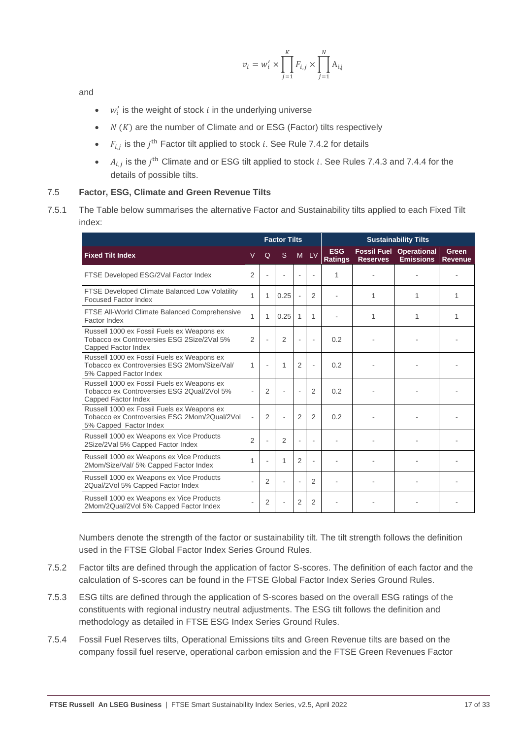$$
\nu_i=w'_i\times\prod_{j=1}^K F_{i,j}\times\prod_{j=1}^N \mathrm{A}_{\mathrm{i},\mathrm{j}}
$$

and

- $w'_i$  is the weight of stock *i* in the underlying universe
- $N(K)$  are the number of Climate and or ESG (Factor) tilts respectively
- , is the  $j<sup>th</sup>$  Factor tilt applied to stock i. See Rule 7.4.2 for details
- $A_{i,j}$  is the  $j^{\text{th}}$  Climate and or ESG tilt applied to stock i. See Rules 7.4.3 and 7.4.4 for the details of possible tilts.

#### 7.5 **Factor, ESG, Climate and Green Revenue Tilts**

7.5.1 The Table below summarises the alternative Factor and Sustainability tilts applied to each Fixed Tilt index:

|                                                                                                                      |                          |                          | <b>Factor Tilts</b><br><b>Sustainability Tilts</b> |                |                |                              |                                       |                                        |                         |
|----------------------------------------------------------------------------------------------------------------------|--------------------------|--------------------------|----------------------------------------------------|----------------|----------------|------------------------------|---------------------------------------|----------------------------------------|-------------------------|
| <b>Fixed Tilt Index</b>                                                                                              | $\vee$                   | Q                        | <sub>S</sub>                                       | M <sub>1</sub> | LV             | <b>ESG</b><br><b>Ratings</b> | <b>Fossil Fuel</b><br><b>Reserves</b> | <b>Operational</b><br><b>Emissions</b> | Green<br><b>Revenue</b> |
| FTSE Developed ESG/2Val Factor Index                                                                                 | $\overline{2}$           |                          |                                                    | ä,             |                | 1                            |                                       |                                        |                         |
| FTSE Developed Climate Balanced Low Volatility<br><b>Focused Factor Index</b>                                        | 1                        | $\mathbf{1}$             | 0.25                                               | ä,             | $\overline{2}$ |                              | 1                                     | 1                                      | 1                       |
| FTSE All-World Climate Balanced Comprehensive<br>Factor Index                                                        | 1                        | $\mathbf{1}$             | 0.25                                               | 1              | 1              |                              | 1                                     | 1                                      | 1                       |
| Russell 1000 ex Fossil Fuels ex Weapons ex<br>Tobacco ex Controversies ESG 2Size/2Val 5%<br>Capped Factor Index      | $\overline{2}$           | L,                       | $\overline{2}$                                     | ä,             | ٠              | 0.2                          |                                       |                                        |                         |
| Russell 1000 ex Fossil Fuels ex Weapons ex<br>Tobacco ex Controversies ESG 2Mom/Size/Val/<br>5% Capped Factor Index  | 1                        | ä,                       | 1                                                  | $\overline{2}$ | ä,             | 0.2                          |                                       |                                        |                         |
| Russell 1000 ex Fossil Fuels ex Weapons ex<br>Tobacco ex Controversies ESG 2Qual/2Vol 5%<br>Capped Factor Index      | ÷,                       | $\overline{2}$           | ä,                                                 | ä,             | $\overline{2}$ | 0.2                          |                                       |                                        |                         |
| Russell 1000 ex Fossil Fuels ex Weapons ex<br>Tobacco ex Controversies ESG 2Mom/2Qual/2Vol<br>5% Capped Factor Index | $\overline{\phantom{a}}$ | $\overline{2}$           | ÷.                                                 | $\overline{2}$ | $\overline{2}$ | 0.2                          |                                       |                                        |                         |
| Russell 1000 ex Weapons ex Vice Products<br>2Size/2Val 5% Capped Factor Index                                        | $\overline{2}$           | $\overline{\phantom{a}}$ | $\overline{2}$                                     | ÷,             | ÷.             |                              |                                       |                                        |                         |
| Russell 1000 ex Weapons ex Vice Products<br>2Mom/Size/Val/ 5% Capped Factor Index                                    | 1                        | $\overline{a}$           | 1                                                  | $\overline{2}$ | ÷.             |                              |                                       |                                        |                         |
| Russell 1000 ex Weapons ex Vice Products<br>2Qual/2Vol 5% Capped Factor Index                                        | ÷,                       | 2                        | ä,                                                 | L.             | 2              |                              |                                       |                                        |                         |
| Russell 1000 ex Weapons ex Vice Products<br>2Mom/2Qual/2Vol 5% Capped Factor Index                                   | ÷,                       | $\overline{2}$           |                                                    | $\overline{2}$ | $\overline{2}$ |                              |                                       |                                        |                         |

Numbers denote the strength of the factor or sustainability tilt. The tilt strength follows the definition used in the FTSE Global Factor Index Series Ground Rules.

- 7.5.2 Factor tilts are defined through the application of factor S-scores. The definition of each factor and the calculation of S-scores can be found in the FTSE Global Factor Index Series Ground Rules.
- 7.5.3 ESG tilts are defined through the application of S-scores based on the overall ESG ratings of the constituents with regional industry neutral adjustments. The ESG tilt follows the definition and methodology as detailed in FTSE ESG Index Series Ground Rules.
- 7.5.4 Fossil Fuel Reserves tilts, Operational Emissions tilts and Green Revenue tilts are based on the company fossil fuel reserve, operational carbon emission and the FTSE Green Revenues Factor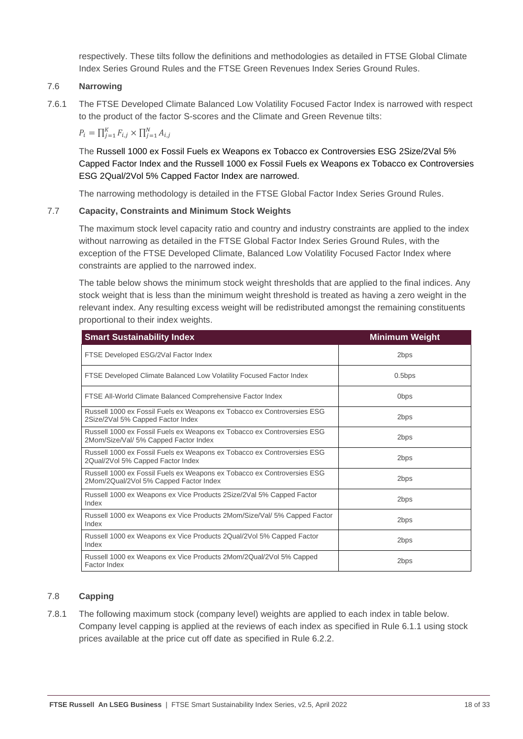respectively. These tilts follow the definitions and methodologies as detailed in FTSE Global Climate Index Series Ground Rules and the FTSE Green Revenues Index Series Ground Rules.

#### 7.6 **Narrowing**

7.6.1 The FTSE Developed Climate Balanced Low Volatility Focused Factor Index is narrowed with respect to the product of the factor S-scores and the Climate and Green Revenue tilts:

 $P_i = \prod_{j=1}^{K} F_{i,j} \times \prod_{j=1}^{N} A_{i,j}$ 

The Russell 1000 ex Fossil Fuels ex Weapons ex Tobacco ex Controversies ESG 2Size/2Val 5% Capped Factor Index and the Russell 1000 ex Fossil Fuels ex Weapons ex Tobacco ex Controversies ESG 2Qual/2Vol 5% Capped Factor Index are narrowed.

The narrowing methodology is detailed in the FTSE Global Factor Index Series Ground Rules.

#### 7.7 **Capacity, Constraints and Minimum Stock Weights**

The maximum stock level capacity ratio and country and industry constraints are applied to the index without narrowing as detailed in the FTSE Global Factor Index Series Ground Rules, with the exception of the FTSE Developed Climate, Balanced Low Volatility Focused Factor Index where constraints are applied to the narrowed index.

The table below shows the minimum stock weight thresholds that are applied to the final indices. Any stock weight that is less than the minimum weight threshold is treated as having a zero weight in the relevant index. Any resulting excess weight will be redistributed amongst the remaining constituents proportional to their index weights.

| <b>Smart Sustainability Index</b>                                                                                 | <b>Minimum Weight</b> |
|-------------------------------------------------------------------------------------------------------------------|-----------------------|
| FTSE Developed ESG/2Val Factor Index                                                                              | 2bps                  |
| FTSE Developed Climate Balanced Low Volatility Focused Factor Index                                               | $0.5$ bps             |
| FTSE All-World Climate Balanced Comprehensive Factor Index                                                        | 0 <sub>bps</sub>      |
| Russell 1000 ex Fossil Fuels ex Weapons ex Tobacco ex Controversies ESG<br>2Size/2Val 5% Capped Factor Index      | 2 <sub>bps</sub>      |
| Russell 1000 ex Fossil Fuels ex Weapons ex Tobacco ex Controversies ESG<br>2Mom/Size/Val/ 5% Capped Factor Index  | 2 <sub>bps</sub>      |
| Russell 1000 ex Fossil Fuels ex Weapons ex Tobacco ex Controversies ESG<br>2Qual/2Vol 5% Capped Factor Index      | 2bps                  |
| Russell 1000 ex Fossil Fuels ex Weapons ex Tobacco ex Controversies ESG<br>2Mom/2Qual/2Vol 5% Capped Factor Index | 2 <sub>bps</sub>      |
| Russell 1000 ex Weapons ex Vice Products 2Size/2Val 5% Capped Factor<br>Index                                     | 2bps                  |
| Russell 1000 ex Weapons ex Vice Products 2Mom/Size/Val/ 5% Capped Factor<br>Index                                 | 2bps                  |
| Russell 1000 ex Weapons ex Vice Products 2Qual/2Vol 5% Capped Factor<br>Index                                     | 2 <sub>bps</sub>      |
| Russell 1000 ex Weapons ex Vice Products 2Mom/2Qual/2Vol 5% Capped<br>Factor Index                                | 2bps                  |

#### 7.8 **Capping**

7.8.1 The following maximum stock (company level) weights are applied to each index in table below. Company level capping is applied at the reviews of each index as specified in Rule 6.1.1 using stock prices available at the price cut off date as specified in Rule 6.2.2.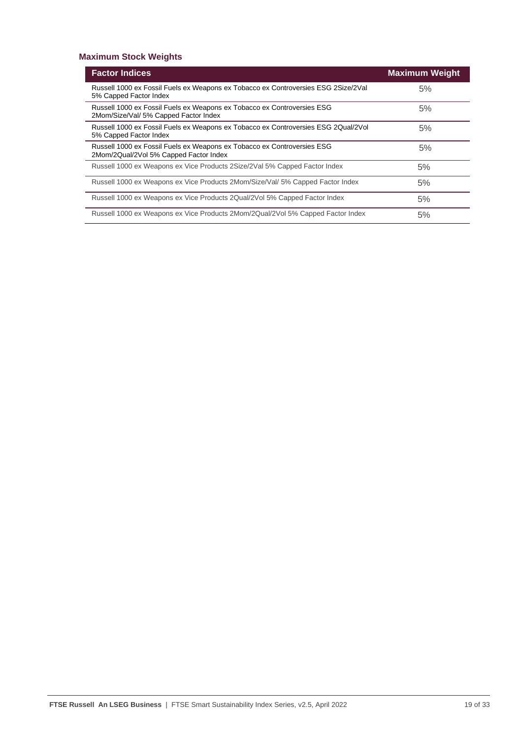#### **Maximum Stock Weights**

| <b>Factor Indices</b>                                                                                             | <b>Maximum Weight</b> |
|-------------------------------------------------------------------------------------------------------------------|-----------------------|
| Russell 1000 ex Fossil Fuels ex Weapons ex Tobacco ex Controversies ESG 2Size/2Val<br>5% Capped Factor Index      | 5%                    |
| Russell 1000 ex Fossil Fuels ex Weapons ex Tobacco ex Controversies ESG<br>2Mom/Size/Val/ 5% Capped Factor Index  | 5%                    |
| Russell 1000 ex Fossil Fuels ex Weapons ex Tobacco ex Controversies ESG 2Qual/2Vol<br>5% Capped Factor Index      | 5%                    |
| Russell 1000 ex Fossil Fuels ex Weapons ex Tobacco ex Controversies ESG<br>2Mom/2Qual/2Vol 5% Capped Factor Index | 5%                    |
| Russell 1000 ex Weapons ex Vice Products 2Size/2Val 5% Capped Factor Index                                        | 5%                    |
| Russell 1000 ex Weapons ex Vice Products 2Mom/Size/Val/ 5% Capped Factor Index                                    | 5%                    |
| Russell 1000 ex Weapons ex Vice Products 2Qual/2Vol 5% Capped Factor Index                                        | 5%                    |
| Russell 1000 ex Weapons ex Vice Products 2Mom/2Qual/2Vol 5% Capped Factor Index                                   | 5%                    |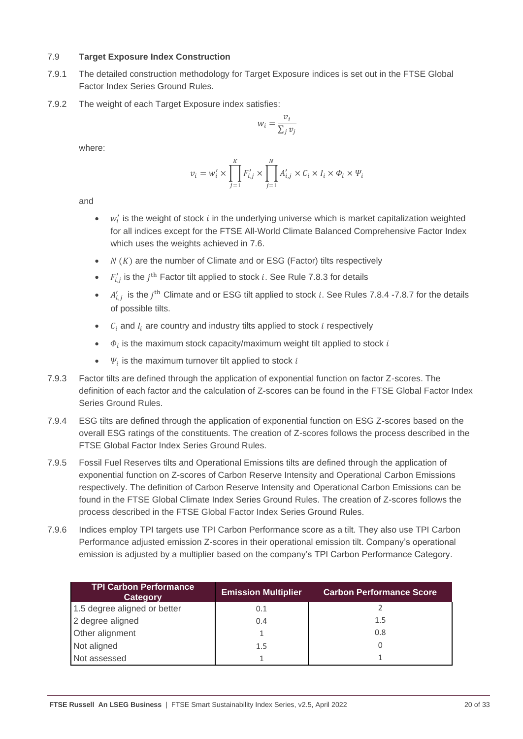#### 7.9 **Target Exposure Index Construction**

- 7.9.1 The detailed construction methodology for Target Exposure indices is set out in the FTSE Global Factor Index Series Ground Rules.
- 7.9.2 The weight of each Target Exposure index satisfies:

$$
w_i = \frac{v_i}{\sum_j v_j}
$$

where:

$$
\nu_i = w'_i \times \prod_{j=1}^K F'_{i,j} \times \prod_{j=1}^N A'_{i,j} \times C_i \times I_i \times \Phi_i \times \Psi_i
$$

and

- $\bullet$   $w'_i$  is the weight of stock *i* in the underlying universe which is market capitalization weighted for all indices except for the FTSE All-World Climate Balanced Comprehensive Factor Index which uses the weights achieved in 7.6.
- $N(K)$  are the number of Climate and or ESG (Factor) tilts respectively
- $F'_{i,j}$  is the  $j^{\text{th}}$  Factor tilt applied to stock i. See Rule 7.8.3 for details
- $A'_{i,j}$  is the  $j^{\text{th}}$  Climate and or ESG tilt applied to stock i. See Rules 7.8.4 -7.8.7 for the details of possible tilts.
- $C_i$  and  $I_i$  are country and industry tilts applied to stock  $i$  respectively
- $\bullet$   $\phi_i$  is the maximum stock capacity/maximum weight tilt applied to stock i
- $\Psi_i$  is the maximum turnover tilt applied to stock i
- 7.9.3 Factor tilts are defined through the application of exponential function on factor Z-scores. The definition of each factor and the calculation of Z-scores can be found in the FTSE Global Factor Index Series Ground Rules.
- 7.9.4 ESG tilts are defined through the application of exponential function on ESG Z-scores based on the overall ESG ratings of the constituents. The creation of Z-scores follows the process described in the FTSE Global Factor Index Series Ground Rules.
- 7.9.5 Fossil Fuel Reserves tilts and Operational Emissions tilts are defined through the application of exponential function on Z-scores of Carbon Reserve Intensity and Operational Carbon Emissions respectively. The definition of Carbon Reserve Intensity and Operational Carbon Emissions can be found in the FTSE Global Climate Index Series Ground Rules. The creation of Z-scores follows the process described in the FTSE Global Factor Index Series Ground Rules.
- 7.9.6 Indices employ TPI targets use TPI Carbon Performance score as a tilt. They also use TPI Carbon Performance adjusted emission Z-scores in their operational emission tilt. Company's operational emission is adjusted by a multiplier based on the company's TPI Carbon Performance Category.

| <b>TPI Carbon Performance</b><br><b>Category</b> | <b>Emission Multiplier</b> | <b>Carbon Performance Score</b> |
|--------------------------------------------------|----------------------------|---------------------------------|
| 1.5 degree aligned or better                     | 0.1                        |                                 |
| 2 degree aligned                                 | 0.4                        | 1.5                             |
| Other alignment                                  |                            | 0.8                             |
| Not aligned                                      | 1.5                        |                                 |
| Not assessed                                     |                            |                                 |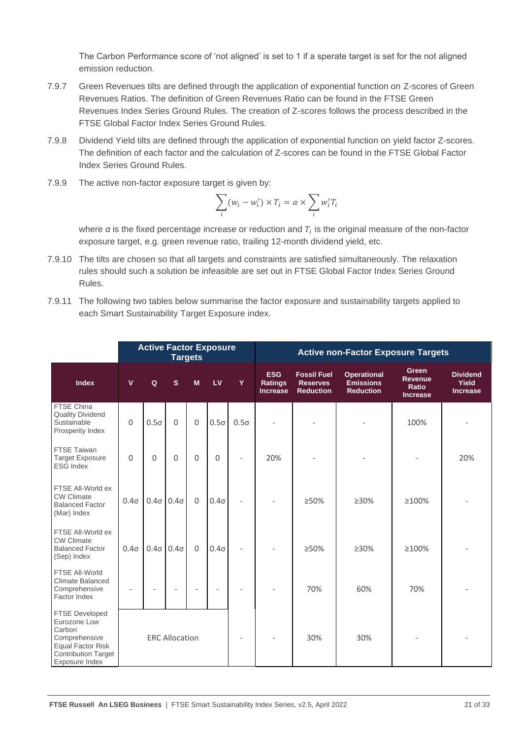The Carbon Performance score of 'not aligned' is set to 1 if a sperate target is set for the not aligned emission reduction.

- 7.9.7 Green Revenues tilts are defined through the application of exponential function on Z-scores of Green Revenues Ratios. The definition of Green Revenues Ratio can be found in the FTSE Green Revenues Index Series Ground Rules. The creation of Z-scores follows the process described in the FTSE Global Factor Index Series Ground Rules.
- 7.9.8 Dividend Yield tilts are defined through the application of exponential function on yield factor Z-scores. The definition of each factor and the calculation of Z-scores can be found in the FTSE Global Factor Index Series Ground Rules.
- 7.9.9 The active non-factor exposure target is given by:

$$
\sum_{i} (w_i - w'_i) \times T_i = \alpha \times \sum_{i} w'_i T_i
$$

where  $\alpha$  is the fixed percentage increase or reduction and  $T_i$  is the original measure of the non-factor exposure target, e.g. green revenue ratio, trailing 12-month dividend yield, etc.

- 7.9.10 The tilts are chosen so that all targets and constraints are satisfied simultaneously. The relaxation rules should such a solution be infeasible are set out in FTSE Global Factor Index Series Ground Rules.
- 7.9.11 The following two tables below summarise the factor exposure and sustainability targets applied to each Smart Sustainability Target Exposure index.

|                                                                                                                                       | <b>Active Factor Exposure</b><br><b>Targets</b> |                          |                          |          |                          |                          | <b>Active non-Factor Exposure Targets</b>       |                                                           |                                                            |                                                     |                                             |
|---------------------------------------------------------------------------------------------------------------------------------------|-------------------------------------------------|--------------------------|--------------------------|----------|--------------------------|--------------------------|-------------------------------------------------|-----------------------------------------------------------|------------------------------------------------------------|-----------------------------------------------------|---------------------------------------------|
| <b>Index</b>                                                                                                                          | v                                               | Q                        | $\mathbf{s}$             | M        | LV                       | Y                        | <b>ESG</b><br><b>Ratings</b><br><b>Increase</b> | <b>Fossil Fuel</b><br><b>Reserves</b><br><b>Reduction</b> | <b>Operational</b><br><b>Emissions</b><br><b>Reduction</b> | Green<br><b>Revenue</b><br>Ratio<br><b>Increase</b> | <b>Dividend</b><br>Yield<br><b>Increase</b> |
| FTSE China<br><b>Quality Dividend</b><br>Sustainable<br>Prosperity Index                                                              | 0                                               | $0.5\sigma$              | $\Omega$                 | $\Omega$ | $0.5\sigma$              | $0.5\sigma$              |                                                 |                                                           |                                                            | 100%                                                |                                             |
| <b>FTSE Taiwan</b><br><b>Target Exposure</b><br><b>ESG Index</b>                                                                      | $\Omega$                                        | 0                        | $\Omega$                 | $\Omega$ | $\Omega$                 | $\overline{\phantom{a}}$ | 20%                                             |                                                           |                                                            |                                                     | 20%                                         |
| FTSE All-World ex<br><b>CW Climate</b><br><b>Balanced Factor</b><br>(Mar) Index                                                       | $0.4\sigma$                                     | $0.4\sigma$              | $0.4\sigma$              | $\Omega$ | $0.4\sigma$              | $\overline{a}$           |                                                 | $>50\%$                                                   | $>30\%$                                                    | $\geq 100\%$                                        |                                             |
| FTSE All-World ex<br><b>CW Climate</b><br><b>Balanced Factor</b><br>(Sep) Index                                                       | $0.4\sigma$                                     | $0.4\sigma$              | $0.4\sigma$              | $\Omega$ | $0.4\sigma$              |                          |                                                 | >50%                                                      | $\geq 30\%$                                                | ≥100%                                               |                                             |
| FTSE All-World<br>Climate Balanced<br>Comprehensive<br>Factor Index                                                                   | $\overline{\phantom{a}}$                        | $\overline{\phantom{a}}$ | $\overline{\phantom{a}}$ |          | $\overline{\phantom{0}}$ |                          |                                                 | 70%                                                       | 60%                                                        | 70%                                                 |                                             |
| FTSE Developed<br>Eurozone Low<br>Carbon<br>Comprehensive<br><b>Equal Factor Risk</b><br><b>Contribution Target</b><br>Exposure Index |                                                 |                          | <b>ERC Allocation</b>    |          |                          |                          |                                                 | 30%                                                       | 30%                                                        |                                                     |                                             |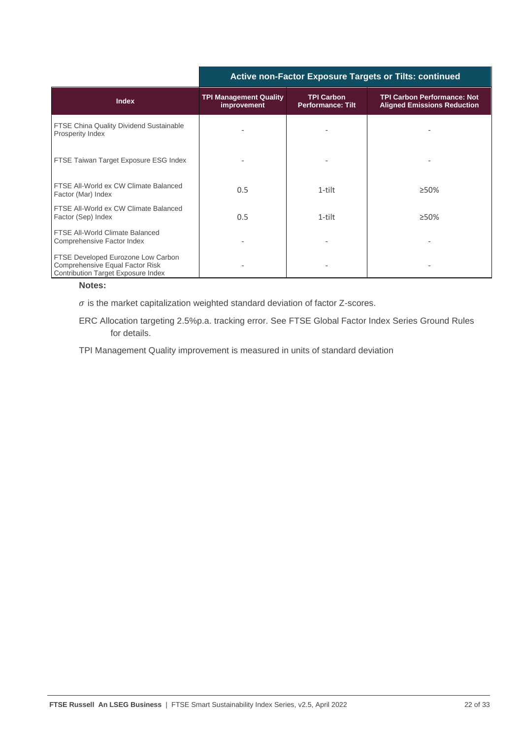|                                                                                                                    | AUDIVE HUIT AUDI LAPUSULE TALGELS UL TIRS. CUIRINGU |                                               |                                                                          |  |  |  |
|--------------------------------------------------------------------------------------------------------------------|-----------------------------------------------------|-----------------------------------------------|--------------------------------------------------------------------------|--|--|--|
| <b>Index</b>                                                                                                       | <b>TPI Management Quality</b><br>improvement        | <b>TPI Carbon</b><br><b>Performance: Tilt</b> | <b>TPI Carbon Performance: Not</b><br><b>Aligned Emissions Reduction</b> |  |  |  |
| FTSE China Quality Dividend Sustainable<br>Prosperity Index                                                        |                                                     |                                               |                                                                          |  |  |  |
| FTSE Taiwan Target Exposure ESG Index                                                                              |                                                     |                                               |                                                                          |  |  |  |
| FTSE All-World ex CW Climate Balanced<br>Factor (Mar) Index                                                        | 0.5                                                 | 1-tilt                                        | $>50\%$                                                                  |  |  |  |
| FTSE All-World ex CW Climate Balanced<br>Factor (Sep) Index                                                        | 0.5                                                 | 1-tilt                                        | $\geq 50\%$                                                              |  |  |  |
| FTSE All-World Climate Balanced<br>Comprehensive Factor Index                                                      |                                                     |                                               |                                                                          |  |  |  |
| FTSE Developed Eurozone Low Carbon<br>Comprehensive Equal Factor Risk<br><b>Contribution Target Exposure Index</b> |                                                     |                                               |                                                                          |  |  |  |

#### **Active non-Factor Exposure Targets or Tilts: continued**

**Notes:**

 $\sigma$  is the market capitalization weighted standard deviation of factor Z-scores.

ERC Allocation targeting 2.5%p.a. tracking error. See FTSE Global Factor Index Series Ground Rules for details.

TPI Management Quality improvement is measured in units of standard deviation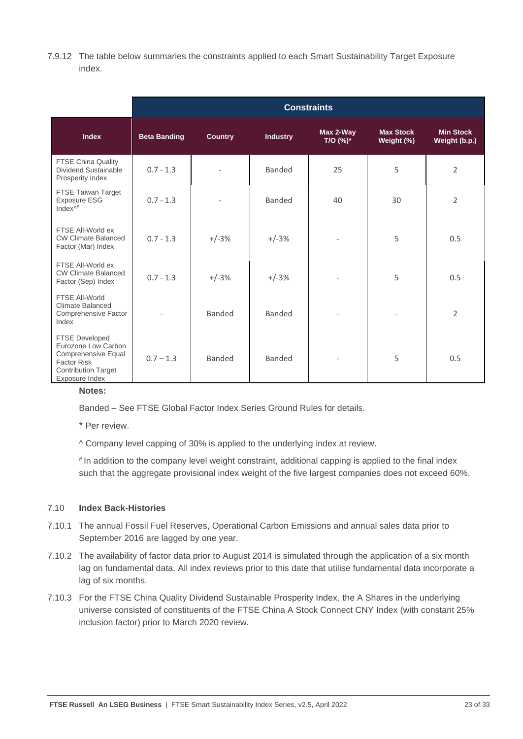7.9.12 The table below summaries the constraints applied to each Smart Sustainability Target Exposure index.

|                                                                                                                                           | <b>Constraints</b>  |                |                 |                       |                                |                                   |  |  |  |  |  |
|-------------------------------------------------------------------------------------------------------------------------------------------|---------------------|----------------|-----------------|-----------------------|--------------------------------|-----------------------------------|--|--|--|--|--|
| <b>Index</b>                                                                                                                              | <b>Beta Banding</b> | <b>Country</b> | <b>Industry</b> | Max 2-Way<br>T/O (%)* | <b>Max Stock</b><br>Weight (%) | <b>Min Stock</b><br>Weight (b.p.) |  |  |  |  |  |
| FTSE China Quality<br>Dividend Sustainable<br>Prosperity Index                                                                            | $0.7 - 1.3$         |                | <b>Banded</b>   | 25                    | 5                              | $\overline{2}$                    |  |  |  |  |  |
| FTSE Taiwan Target<br>Exposure ESG<br>Index $\wedge^{\#}$                                                                                 | $0.7 - 1.3$         |                | Banded          | 40                    | 30                             | $\overline{2}$                    |  |  |  |  |  |
| FTSE All-World ex<br><b>CW Climate Balanced</b><br>Factor (Mar) Index                                                                     | $0.7 - 1.3$         | $+/-3%$        | $+/-3%$         |                       | 5                              | 0.5                               |  |  |  |  |  |
| FTSE All-World ex<br><b>CW Climate Balanced</b><br>Factor (Sep) Index                                                                     | $0.7 - 1.3$         | $+/-3%$        | $+/-3%$         |                       | 5                              | 0.5                               |  |  |  |  |  |
| FTSE All-World<br><b>Climate Balanced</b><br>Comprehensive Factor<br>Index                                                                |                     | <b>Banded</b>  | <b>Banded</b>   |                       |                                | $\overline{2}$                    |  |  |  |  |  |
| <b>FTSE Developed</b><br>Eurozone Low Carbon<br>Comprehensive Equal<br><b>Factor Risk</b><br><b>Contribution Target</b><br>Exposure Index | $0.7 - 1.3$         | Banded         | Banded          |                       | 5                              | 0.5                               |  |  |  |  |  |

#### **Notes:**

Banded – See FTSE Global Factor Index Series Ground Rules for details.

\* Per review.

^ Company level capping of 30% is applied to the underlying index at review.

# In addition to the company level weight constraint, additional capping is applied to the final index such that the aggregate provisional index weight of the five largest companies does not exceed 60%.

#### 7.10 **Index Back-Histories**

- 7.10.1 The annual Fossil Fuel Reserves, Operational Carbon Emissions and annual sales data prior to September 2016 are lagged by one year.
- 7.10.2 The availability of factor data prior to August 2014 is simulated through the application of a six month lag on fundamental data. All index reviews prior to this date that utilise fundamental data incorporate a lag of six months.
- 7.10.3 For the FTSE China Quality Dividend Sustainable Prosperity Index, the A Shares in the underlying universe consisted of constituents of the FTSE China A Stock Connect CNY Index (with constant 25% inclusion factor) prior to March 2020 review.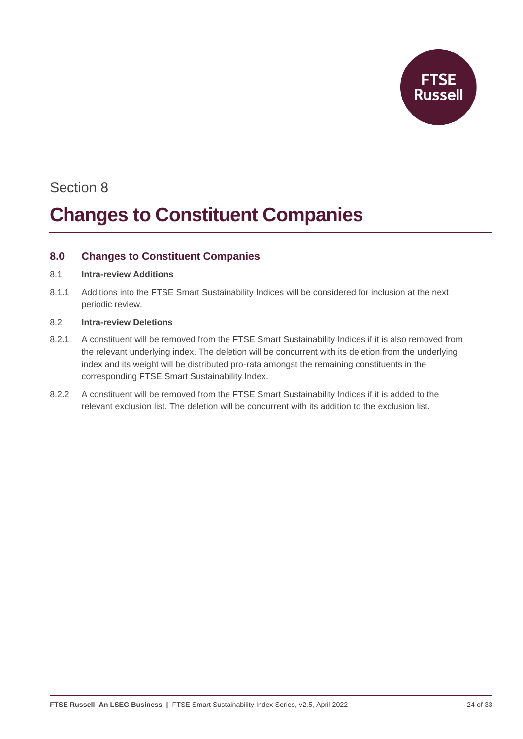

### Section 8

## **Changes to Constituent Companies**

#### <span id="page-23-0"></span>**8.0 Changes to Constituent Companies**

#### 8.1 **Intra-review Additions**

8.1.1 Additions into the FTSE Smart Sustainability Indices will be considered for inclusion at the next periodic review.

#### 8.2 **Intra-review Deletions**

- 8.2.1 A constituent will be removed from the FTSE Smart Sustainability Indices if it is also removed from the relevant underlying index. The deletion will be concurrent with its deletion from the underlying index and its weight will be distributed pro-rata amongst the remaining constituents in the corresponding FTSE Smart Sustainability Index.
- 8.2.2 A constituent will be removed from the FTSE Smart Sustainability Indices if it is added to the relevant exclusion list. The deletion will be concurrent with its addition to the exclusion list.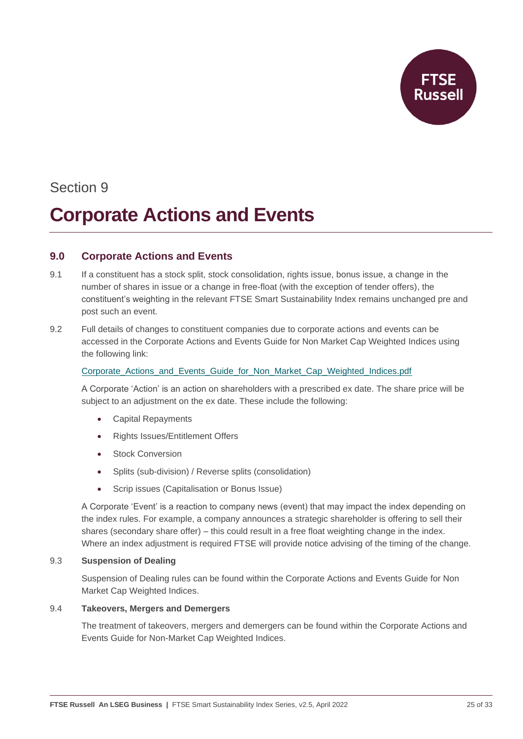

### Section 9

### **Corporate Actions and Events**

#### <span id="page-24-0"></span>**9.0 Corporate Actions and Events**

- 9.1 If a constituent has a stock split, stock consolidation, rights issue, bonus issue, a change in the number of shares in issue or a change in free-float (with the exception of tender offers), the constituent's weighting in the relevant FTSE Smart Sustainability Index remains unchanged pre and post such an event.
- 9.2 Full details of changes to constituent companies due to corporate actions and events can be accessed in the Corporate Actions and Events Guide for Non Market Cap Weighted Indices using the following link:

#### Corporate Actions and Events Guide for Non Market Cap Weighted Indices.pdf

A Corporate 'Action' is an action on shareholders with a prescribed ex date. The share price will be subject to an adjustment on the ex date. These include the following:

- Capital Repayments
- Rights Issues/Entitlement Offers
- **Stock Conversion**
- Splits (sub-division) / Reverse splits (consolidation)
- Scrip issues (Capitalisation or Bonus Issue)

A Corporate 'Event' is a reaction to company news (event) that may impact the index depending on the index rules. For example, a company announces a strategic shareholder is offering to sell their shares (secondary share offer) – this could result in a free float weighting change in the index. Where an index adjustment is required FTSE will provide notice advising of the timing of the change.

#### 9.3 **Suspension of Dealing**

Suspension of Dealing rules can be found within the Corporate Actions and Events Guide for Non Market Cap Weighted Indices.

#### 9.4 **Takeovers, Mergers and Demergers**

The treatment of takeovers, mergers and demergers can be found within the Corporate Actions and Events Guide for Non-Market Cap Weighted Indices.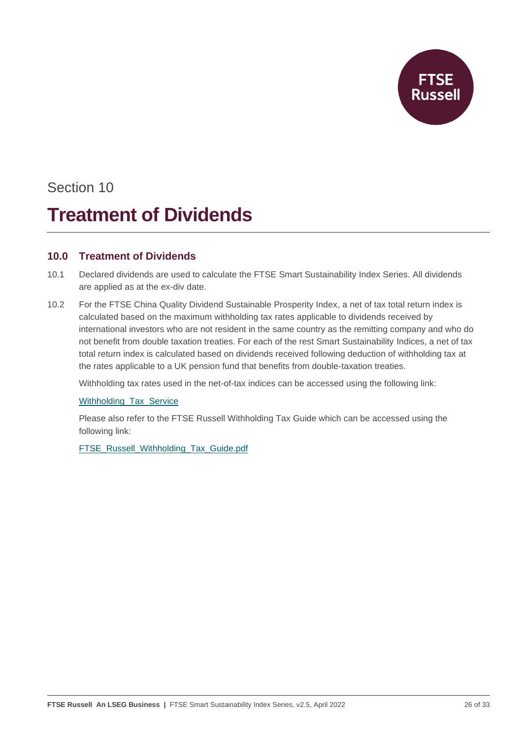**Russell** 

### Section 10

## **Treatment of Dividends**

#### <span id="page-25-0"></span>**10.0 Treatment of Dividends**

- 10.1 Declared dividends are used to calculate the FTSE Smart Sustainability Index Series. All dividends are applied as at the ex-div date.
- 10.2 For the FTSE China Quality Dividend Sustainable Prosperity Index, a net of tax total return index is calculated based on the maximum withholding tax rates applicable to dividends received by international investors who are not resident in the same country as the remitting company and who do not benefit from double taxation treaties. For each of the rest Smart Sustainability Indices, a net of tax total return index is calculated based on dividends received following deduction of withholding tax at the rates applicable to a UK pension fund that benefits from double-taxation treaties.

Withholding tax rates used in the net-of-tax indices can be accessed using the following link:

#### [Withholding\\_Tax\\_Service](https://www.ftserussell.com/products/indices/withholding-tax-service)

Please also refer to the FTSE Russell Withholding Tax Guide which can be accessed using the following link:

[FTSE\\_Russell\\_Withholding\\_Tax\\_Guide.pdf](https://research.ftserussell.com/products/downloads/FTSE_Russell_Withholding_Tax_Guide.pdf)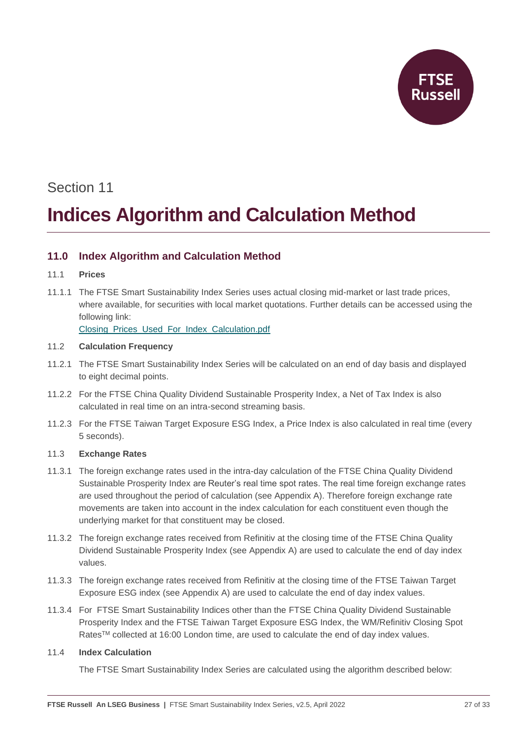

# Section 11 **Indices Algorithm and Calculation Method**

#### <span id="page-26-0"></span>**11.0 Index Algorithm and Calculation Method**

- 11.1 **Prices**
- 11.1.1 The FTSE Smart Sustainability Index Series uses actual closing mid-market or last trade prices, where available, for securities with local market quotations. Further details can be accessed using the following link:

[Closing\\_Prices\\_Used\\_For\\_Index\\_Calculation.pdf](https://research.ftserussell.com/products/downloads/Closing_Prices_Used_For_Index_Calculation.pdf)

#### 11.2 **Calculation Frequency**

- 11.2.1 The FTSE Smart Sustainability Index Series will be calculated on an end of day basis and displayed to eight decimal points.
- 11.2.2 For the FTSE China Quality Dividend Sustainable Prosperity Index, a Net of Tax Index is also calculated in real time on an intra-second streaming basis.
- 11.2.3 For the FTSE Taiwan Target Exposure ESG Index, a Price Index is also calculated in real time (every 5 seconds).

#### 11.3 **Exchange Rates**

- 11.3.1 The foreign exchange rates used in the intra-day calculation of the FTSE China Quality Dividend Sustainable Prosperity Index are Reuter's real time spot rates. The real time foreign exchange rates are used throughout the period of calculation (see Appendix A). Therefore foreign exchange rate movements are taken into account in the index calculation for each constituent even though the underlying market for that constituent may be closed.
- 11.3.2 The foreign exchange rates received from Refinitiv at the closing time of the FTSE China Quality Dividend Sustainable Prosperity Index (see Appendix A) are used to calculate the end of day index values.
- 11.3.3 The foreign exchange rates received from Refinitiv at the closing time of the FTSE Taiwan Target Exposure ESG index (see Appendix A) are used to calculate the end of day index values.
- 11.3.4 For FTSE Smart Sustainability Indices other than the FTSE China Quality Dividend Sustainable Prosperity Index and the FTSE Taiwan Target Exposure ESG Index, the WM/Refinitiv Closing Spot Rates™ collected at 16:00 London time, are used to calculate the end of day index values.

#### 11.4 **Index Calculation**

The FTSE Smart Sustainability Index Series are calculated using the algorithm described below: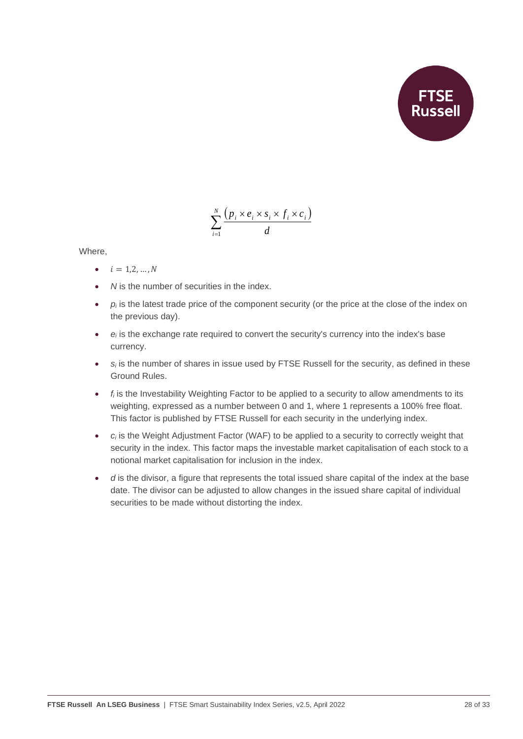

$$
\sum_{i=1}^N \frac{\left(p_i \times e_i \times s_i \times f_i \times c_i\right)}{d}
$$

Where,

- $i = 1, 2, ..., N$
- *N* is the number of securities in the index.
- *p<sub>i</sub>* is the latest trade price of the component security (or the price at the close of the index on the previous day).
- *e<sup>i</sup>* is the exchange rate required to convert the security's currency into the index's base currency.
- $s_i$  is the number of shares in issue used by FTSE Russell for the security, as defined in these Ground Rules.
- *f<sup>i</sup>* is the Investability Weighting Factor to be applied to a security to allow amendments to its weighting, expressed as a number between 0 and 1, where 1 represents a 100% free float. This factor is published by FTSE Russell for each security in the underlying index.
- $c_i$  is the Weight Adjustment Factor (WAF) to be applied to a security to correctly weight that security in the index. This factor maps the investable market capitalisation of each stock to a notional market capitalisation for inclusion in the index.
- *d* is the divisor, a figure that represents the total issued share capital of the index at the base date. The divisor can be adjusted to allow changes in the issued share capital of individual securities to be made without distorting the index.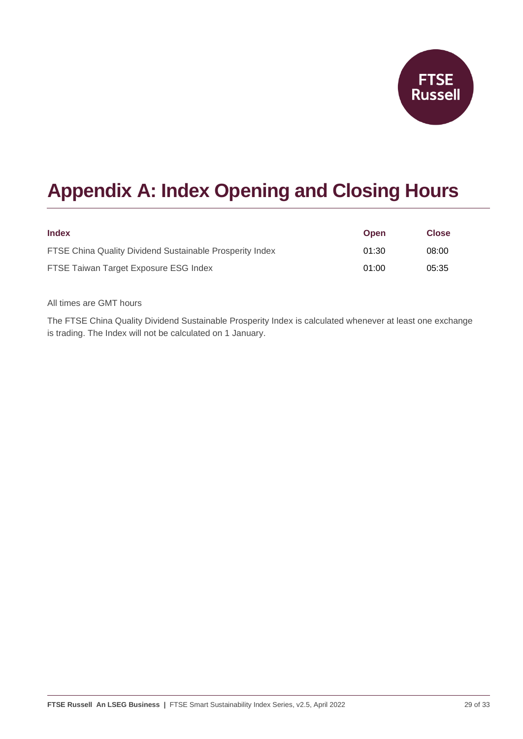

### <span id="page-28-0"></span>**Appendix A: Index Opening and Closing Hours**

| <b>Index</b>                                             | <b>Open</b> | <b>Close</b> |
|----------------------------------------------------------|-------------|--------------|
| FTSE China Quality Dividend Sustainable Prosperity Index | 01:30       | 08:00        |
| FTSE Taiwan Target Exposure ESG Index                    | 01:00       | 05:35        |

All times are GMT hours

The FTSE China Quality Dividend Sustainable Prosperity Index is calculated whenever at least one exchange is trading. The Index will not be calculated on 1 January.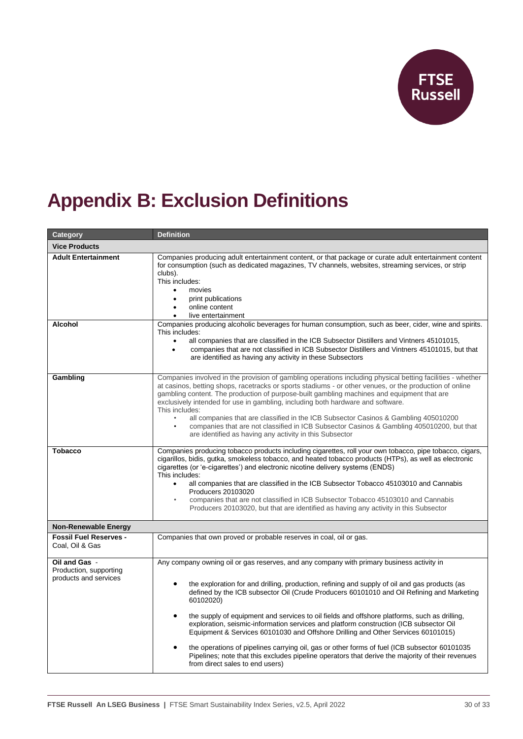**FTSE**<br>Russell

## <span id="page-29-0"></span>**Appendix B: Exclusion Definitions**

| Category                                                         | <b>Definition</b>                                                                                                                                                                                                                                                                                                                                                                                                                                                                                                                                                                                                                                                                                                                                                                                                                      |  |
|------------------------------------------------------------------|----------------------------------------------------------------------------------------------------------------------------------------------------------------------------------------------------------------------------------------------------------------------------------------------------------------------------------------------------------------------------------------------------------------------------------------------------------------------------------------------------------------------------------------------------------------------------------------------------------------------------------------------------------------------------------------------------------------------------------------------------------------------------------------------------------------------------------------|--|
| <b>Vice Products</b>                                             |                                                                                                                                                                                                                                                                                                                                                                                                                                                                                                                                                                                                                                                                                                                                                                                                                                        |  |
| <b>Adult Entertainment</b>                                       | Companies producing adult entertainment content, or that package or curate adult entertainment content<br>for consumption (such as dedicated magazines, TV channels, websites, streaming services, or strip<br>clubs).<br>This includes:<br>movies<br>$\bullet$<br>print publications<br>$\bullet$<br>online content<br>live entertainment                                                                                                                                                                                                                                                                                                                                                                                                                                                                                             |  |
| <b>Alcohol</b>                                                   | Companies producing alcoholic beverages for human consumption, such as beer, cider, wine and spirits.<br>This includes:<br>all companies that are classified in the ICB Subsector Distillers and Vintners 45101015,<br>$\bullet$<br>companies that are not classified in ICB Subsector Distillers and Vintners 45101015, but that<br>$\bullet$<br>are identified as having any activity in these Subsectors                                                                                                                                                                                                                                                                                                                                                                                                                            |  |
| Gambling                                                         | Companies involved in the provision of gambling operations including physical betting facilities - whether<br>at casinos, betting shops, racetracks or sports stadiums - or other venues, or the production of online<br>gambling content. The production of purpose-built gambling machines and equipment that are<br>exclusively intended for use in gambling, including both hardware and software.<br>This includes:<br>all companies that are classified in the ICB Subsector Casinos & Gambling 405010200<br>companies that are not classified in ICB Subsector Casinos & Gambling 405010200, but that<br>are identified as having any activity in this Subsector                                                                                                                                                                |  |
| <b>Tobacco</b>                                                   | Companies producing tobacco products including cigarettes, roll your own tobacco, pipe tobacco, cigars,<br>cigarillos, bidis, gutka, smokeless tobacco, and heated tobacco products (HTPs), as well as electronic<br>cigarettes (or 'e-cigarettes') and electronic nicotine delivery systems (ENDS)<br>This includes:<br>all companies that are classified in the ICB Subsector Tobacco 45103010 and Cannabis<br>$\bullet$<br>Producers 20103020<br>companies that are not classified in ICB Subsector Tobacco 45103010 and Cannabis<br>Producers 20103020, but that are identified as having any activity in this Subsector                                                                                                                                                                                                           |  |
| <b>Non-Renewable Energy</b>                                      |                                                                                                                                                                                                                                                                                                                                                                                                                                                                                                                                                                                                                                                                                                                                                                                                                                        |  |
| <b>Fossil Fuel Reserves -</b><br>Coal, Oil & Gas                 | Companies that own proved or probable reserves in coal, oil or gas.                                                                                                                                                                                                                                                                                                                                                                                                                                                                                                                                                                                                                                                                                                                                                                    |  |
| Oil and Gas -<br>Production, supporting<br>products and services | Any company owning oil or gas reserves, and any company with primary business activity in<br>the exploration for and drilling, production, refining and supply of oil and gas products (as<br>defined by the ICB subsector Oil (Crude Producers 60101010 and Oil Refining and Marketing<br>60102020)<br>the supply of equipment and services to oil fields and offshore platforms, such as drilling,<br>$\bullet$<br>exploration, seismic-information services and platform construction (ICB subsector Oil<br>Equipment & Services 60101030 and Offshore Drilling and Other Services 60101015)<br>the operations of pipelines carrying oil, gas or other forms of fuel (ICB subsector 60101035<br>Pipelines; note that this excludes pipeline operators that derive the majority of their revenues<br>from direct sales to end users) |  |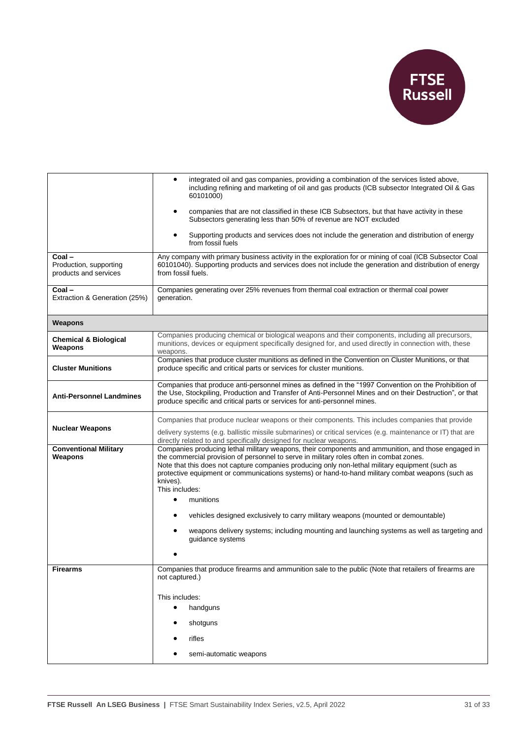

|                                                          | integrated oil and gas companies, providing a combination of the services listed above,<br>٠<br>including refining and marketing of oil and gas products (ICB subsector Integrated Oil & Gas<br>60101000)<br>companies that are not classified in these ICB Subsectors, but that have activity in these                                                                                                                            |
|----------------------------------------------------------|------------------------------------------------------------------------------------------------------------------------------------------------------------------------------------------------------------------------------------------------------------------------------------------------------------------------------------------------------------------------------------------------------------------------------------|
|                                                          | Subsectors generating less than 50% of revenue are NOT excluded                                                                                                                                                                                                                                                                                                                                                                    |
|                                                          | Supporting products and services does not include the generation and distribution of energy<br>from fossil fuels                                                                                                                                                                                                                                                                                                                   |
| Coal-<br>Production, supporting<br>products and services | Any company with primary business activity in the exploration for or mining of coal (ICB Subsector Coal<br>60101040). Supporting products and services does not include the generation and distribution of energy<br>from fossil fuels.                                                                                                                                                                                            |
| Coal-<br>Extraction & Generation (25%)                   | Companies generating over 25% revenues from thermal coal extraction or thermal coal power<br>generation.                                                                                                                                                                                                                                                                                                                           |
| Weapons                                                  |                                                                                                                                                                                                                                                                                                                                                                                                                                    |
| <b>Chemical &amp; Biological</b><br>Weapons              | Companies producing chemical or biological weapons and their components, including all precursors,<br>munitions, devices or equipment specifically designed for, and used directly in connection with, these<br>weapons.                                                                                                                                                                                                           |
| <b>Cluster Munitions</b>                                 | Companies that produce cluster munitions as defined in the Convention on Cluster Munitions, or that<br>produce specific and critical parts or services for cluster munitions.                                                                                                                                                                                                                                                      |
| <b>Anti-Personnel Landmines</b>                          | Companies that produce anti-personnel mines as defined in the "1997 Convention on the Prohibition of<br>the Use, Stockpiling, Production and Transfer of Anti-Personnel Mines and on their Destruction", or that<br>produce specific and critical parts or services for anti-personnel mines.                                                                                                                                      |
| <b>Nuclear Weapons</b>                                   | Companies that produce nuclear weapons or their components. This includes companies that provide                                                                                                                                                                                                                                                                                                                                   |
|                                                          | delivery systems (e.g. ballistic missile submarines) or critical services (e.g. maintenance or IT) that are<br>directly related to and specifically designed for nuclear weapons.                                                                                                                                                                                                                                                  |
| <b>Conventional Military</b><br>Weapons                  | Companies producing lethal military weapons, their components and ammunition, and those engaged in<br>the commercial provision of personnel to serve in military roles often in combat zones.<br>Note that this does not capture companies producing only non-lethal military equipment (such as<br>protective equipment or communications systems) or hand-to-hand military combat weapons (such as<br>knives).<br>This includes: |
|                                                          | munitions<br>$\bullet$                                                                                                                                                                                                                                                                                                                                                                                                             |
|                                                          | vehicles designed exclusively to carry military weapons (mounted or demountable)<br>weapons delivery systems; including mounting and launching systems as well as targeting and                                                                                                                                                                                                                                                    |
|                                                          | guidance systems                                                                                                                                                                                                                                                                                                                                                                                                                   |
| <b>Firearms</b>                                          | Companies that produce firearms and ammunition sale to the public (Note that retailers of firearms are                                                                                                                                                                                                                                                                                                                             |
|                                                          | not captured.)                                                                                                                                                                                                                                                                                                                                                                                                                     |
|                                                          | This includes:                                                                                                                                                                                                                                                                                                                                                                                                                     |
|                                                          | handguns<br>$\bullet$                                                                                                                                                                                                                                                                                                                                                                                                              |
|                                                          | shotguns                                                                                                                                                                                                                                                                                                                                                                                                                           |
|                                                          | rifles                                                                                                                                                                                                                                                                                                                                                                                                                             |
|                                                          | semi-automatic weapons                                                                                                                                                                                                                                                                                                                                                                                                             |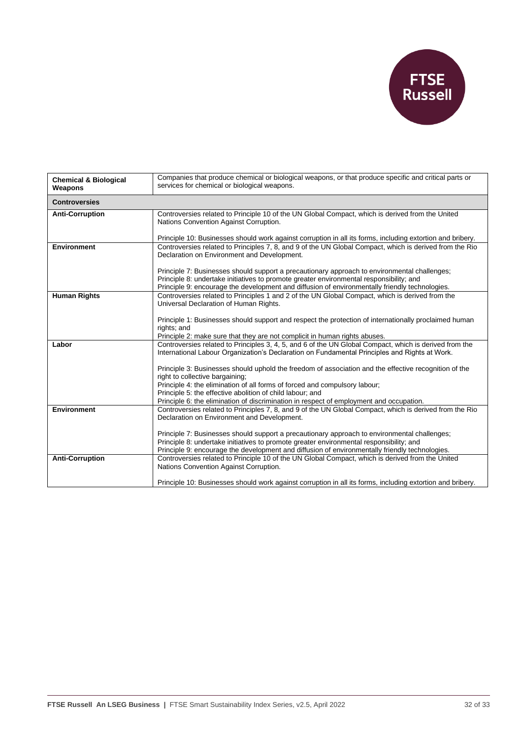

| <b>Chemical &amp; Biological</b><br>Weapons | Companies that produce chemical or biological weapons, or that produce specific and critical parts or<br>services for chemical or biological weapons.                                                                                                                                                                                                                                                                                                                                                                                                                                     |  |
|---------------------------------------------|-------------------------------------------------------------------------------------------------------------------------------------------------------------------------------------------------------------------------------------------------------------------------------------------------------------------------------------------------------------------------------------------------------------------------------------------------------------------------------------------------------------------------------------------------------------------------------------------|--|
| <b>Controversies</b>                        |                                                                                                                                                                                                                                                                                                                                                                                                                                                                                                                                                                                           |  |
| <b>Anti-Corruption</b>                      | Controversies related to Principle 10 of the UN Global Compact, which is derived from the United<br>Nations Convention Against Corruption.<br>Principle 10: Businesses should work against corruption in all its forms, including extortion and bribery.                                                                                                                                                                                                                                                                                                                                  |  |
| <b>Environment</b>                          | Controversies related to Principles 7, 8, and 9 of the UN Global Compact, which is derived from the Rio<br>Declaration on Environment and Development.<br>Principle 7: Businesses should support a precautionary approach to environmental challenges;<br>Principle 8: undertake initiatives to promote greater environmental responsibility; and<br>Principle 9: encourage the development and diffusion of environmentally friendly technologies.                                                                                                                                       |  |
| <b>Human Rights</b>                         | Controversies related to Principles 1 and 2 of the UN Global Compact, which is derived from the<br>Universal Declaration of Human Rights.<br>Principle 1: Businesses should support and respect the protection of internationally proclaimed human<br>rights; and<br>Principle 2: make sure that they are not complicit in human rights abuses.                                                                                                                                                                                                                                           |  |
| Labor                                       | Controversies related to Principles 3, 4, 5, and 6 of the UN Global Compact, which is derived from the<br>International Labour Organization's Declaration on Fundamental Principles and Rights at Work.<br>Principle 3: Businesses should uphold the freedom of association and the effective recognition of the<br>right to collective bargaining;<br>Principle 4: the elimination of all forms of forced and compulsory labour;<br>Principle 5: the effective abolition of child labour; and<br>Principle 6: the elimination of discrimination in respect of employment and occupation. |  |
| <b>Environment</b>                          | Controversies related to Principles 7, 8, and 9 of the UN Global Compact, which is derived from the Rio<br>Declaration on Environment and Development.<br>Principle 7: Businesses should support a precautionary approach to environmental challenges;<br>Principle 8: undertake initiatives to promote greater environmental responsibility; and<br>Principle 9: encourage the development and diffusion of environmentally friendly technologies.                                                                                                                                       |  |
| <b>Anti-Corruption</b>                      | Controversies related to Principle 10 of the UN Global Compact, which is derived from the United<br>Nations Convention Against Corruption.<br>Principle 10: Businesses should work against corruption in all its forms, including extortion and bribery.                                                                                                                                                                                                                                                                                                                                  |  |